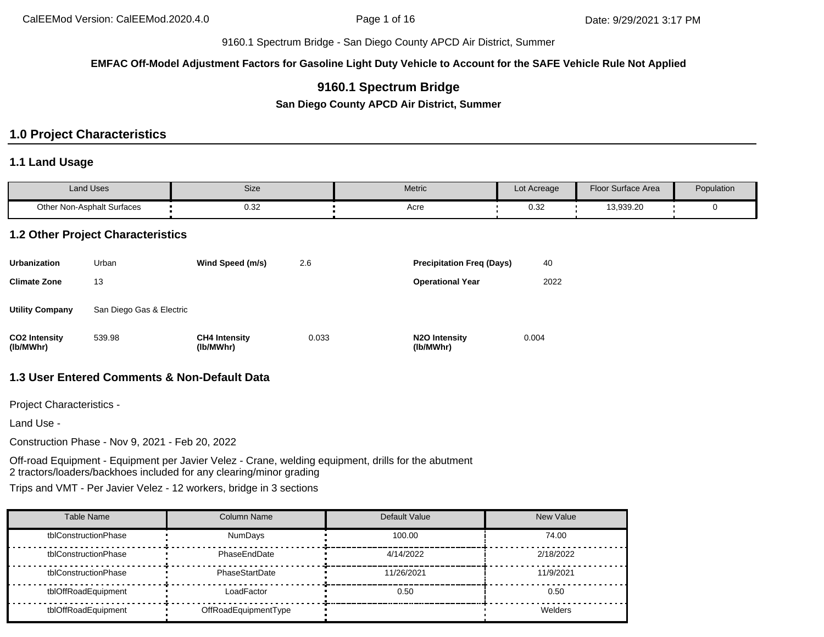**EMFAC Off-Model Adjustment Factors for Gasoline Light Duty Vehicle to Account for the SAFE Vehicle Rule Not Applied**

# **9160.1 Spectrum Bridge**

**San Diego County APCD Air District, Summer**

# **1.0 Project Characteristics**

#### **1.1 Land Usage**

| Land Uses                  | Size                                           | Metric | Lot Acreage | Floor Surface Area | Population |
|----------------------------|------------------------------------------------|--------|-------------|--------------------|------------|
| Other Non-Asphalt Surfaces | ר פר<br>ש.ט<br>the contract of the contract of | Acre   | ົ່<br>∪.∪∠  | 13,939.20          |            |

### **1.2 Other Project Characteristics**

| <b>Urbanization</b>               | Urban                    | Wind Speed (m/s)                  | 2.6   | <b>Precipitation Freg (Days)</b>        | 40    |
|-----------------------------------|--------------------------|-----------------------------------|-------|-----------------------------------------|-------|
| <b>Climate Zone</b>               | 13                       |                                   |       | <b>Operational Year</b>                 | 2022  |
| <b>Utility Company</b>            | San Diego Gas & Electric |                                   |       |                                         |       |
| <b>CO2</b> Intensity<br>(lb/MWhr) | 539.98                   | <b>CH4 Intensity</b><br>(lb/MWhr) | 0.033 | N <sub>2</sub> O Intensity<br>(lb/MWhr) | 0.004 |

## **1.3 User Entered Comments & Non-Default Data**

Project Characteristics -

Land Use -

Construction Phase - Nov 9, 2021 - Feb 20, 2022

Off-road Equipment - Equipment per Javier Velez - Crane, welding equipment, drills for the abutment 2 tractors/loaders/backhoes included for any clearing/minor grading

Trips and VMT - Per Javier Velez - 12 workers, bridge in 3 sections

| Table Name           | Column Name          | Default Value | <b>New Value</b> |
|----------------------|----------------------|---------------|------------------|
| tblConstructionPhase | <b>NumDays</b>       | 100.00        | 74.00            |
| tblConstructionPhase | PhaseEndDate         | 4/14/2022     | 2/18/2022        |
| tblConstructionPhase | PhaseStartDate       | 11/26/2021    | 11/9/2021        |
| tblOffRoadEquipment  | LoadFactor           | 0.50          | 0.50             |
| tblOffRoadEquipment  | OffRoadEquipmentType |               | Welders          |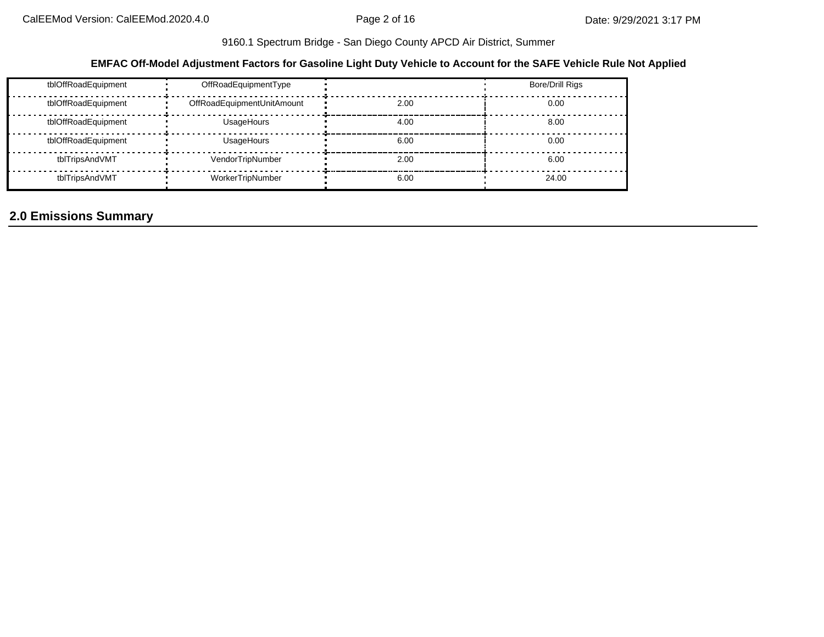### **EMFAC Off-Model Adjustment Factors for Gasoline Light Duty Vehicle to Account for the SAFE Vehicle Rule Not Applied**

| tblOffRoadEquipment | OffRoadEquipmentType       |      | <b>Bore/Drill Rigs</b> |
|---------------------|----------------------------|------|------------------------|
| tblOffRoadEquipment | OffRoadEquipmentUnitAmount | 2.00 | 0.00                   |
| tblOffRoadEquipment | UsageHours                 | 4.00 | 8.00                   |
| tblOffRoadEquipment | UsageHours                 | 6.00 | 0.00                   |
| tblTripsAndVMT      | VendorTripNumber           | 2.00 | 6.00                   |
| tblTripsAndVMT      | WorkerTripNumber           | 6.00 | 24.00                  |

# **2.0 Emissions Summary**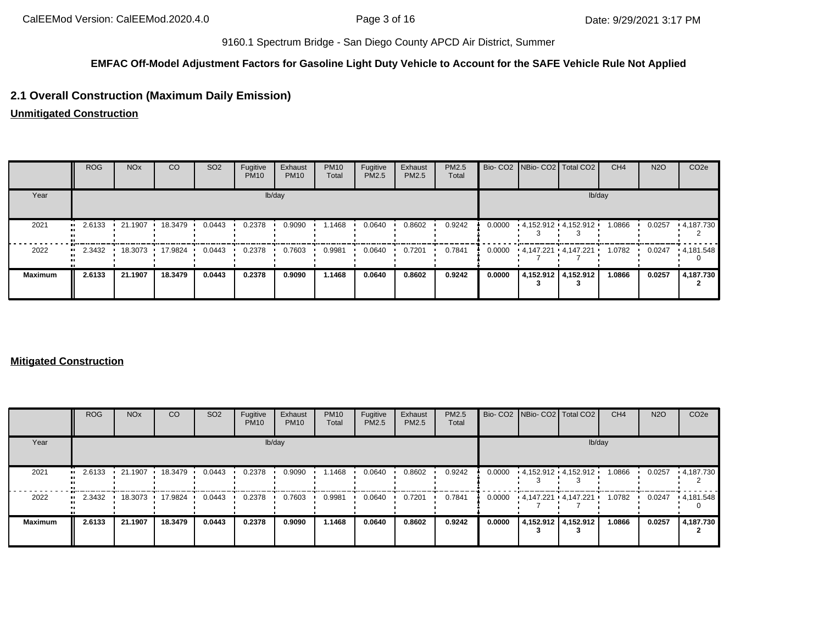#### **EMFAC Off-Model Adjustment Factors for Gasoline Light Duty Vehicle to Account for the SAFE Vehicle Rule Not Applied**

# **2.1 Overall Construction (Maximum Daily Emission)**

**Unmitigated Construction**

|                | ROG    | <b>NO<sub>x</sub></b> | <b>CO</b> | SO <sub>2</sub> | Fugitive<br><b>PM10</b> | Exhaust<br><b>PM10</b> | <b>PM10</b><br>Total | Fugitive<br>PM2.5 | Exhaust<br><b>PM2.5</b> | PM2.5<br>Total |        | Bio- CO2 NBio- CO2 Total CO2 | CH <sub>4</sub> | <b>N2O</b> | CO <sub>2e</sub>  |
|----------------|--------|-----------------------|-----------|-----------------|-------------------------|------------------------|----------------------|-------------------|-------------------------|----------------|--------|------------------------------|-----------------|------------|-------------------|
| Year           |        |                       |           |                 |                         | lb/day                 |                      |                   |                         |                |        | lb/day                       |                 |            |                   |
| 2021           | 2.6133 | $\cdot$ 21.1907       | 18.3479 · | 0.0443          | 0.2378                  | 0.9090                 | .1468                | 0.0640            | 0.8602                  | 0.9242         | 0.0000 | $4.152.912 \cdot 4.152.912$  | 1.0866          | 0.0257     | $\cdot$ 4.187.730 |
| 2022           | 2.3432 | 18.3073               | 17.9824   | 0.0443          | 0.2378                  | 0.7603                 | 0.9981               | 0.0640            | 0.7201                  | 0.7841         | 0.0000 | 4.147.221 4.147.221          | 1.0782          | 0.0247     | .4,181.548        |
| <b>Maximum</b> | 2.6133 | 21.1907               | 18.3479   | 0.0443          | 0.2378                  | 0.9090                 | 1.1468               | 0.0640            | 0.8602                  | 0.9242         | 0.0000 | 4,152.912 4,152.912          | 1.0866          | 0.0257     | 4,187.730         |

### **Mitigated Construction**

|                   | <b>ROG</b>    | <b>NO<sub>x</sub></b> | CO      | SO <sub>2</sub> | Fugitive<br><b>PM10</b> | Exhaust<br><b>PM10</b> | <b>PM10</b><br>Total | Fugitive<br>PM2.5 | Exhaust<br>PM2.5 | PM2.5<br>Total |        | Bio- CO2 NBio- CO2 Total CO2 |                         | CH <sub>4</sub> | <b>N2O</b> | CO <sub>2e</sub> |
|-------------------|---------------|-----------------------|---------|-----------------|-------------------------|------------------------|----------------------|-------------------|------------------|----------------|--------|------------------------------|-------------------------|-----------------|------------|------------------|
| Year              |               |                       |         |                 |                         | lb/day                 |                      |                   |                  |                |        |                              | lb/day                  |                 |            |                  |
| 2021              | 2.6133<br>. . | 21.1907               | 18.3479 | 0.0443          | 0.2378                  | 0.9090                 | 1.1468               | 0.0640            | 0.8602           | 0.9242         | 0.0000 |                              | $4,152.912$ $4,152.912$ | 1.0866          | 0.0257     | $+4.187.730$     |
| 2022<br>$\bullet$ | 2.3432        | 18.3073               | 17.9824 | 0.0443          | 0.2378                  | 0.7603                 | 0.9981               | 0.0640            | 0.7201           | 0.7841         | 0.0000 |                              | 4,147.221 4,147.221     | 1.0782          | 0.0247     | .4,181.548       |
| <b>Maximum</b>    | 2.6133        | 21.1907               | 18.3479 | 0.0443          | 0.2378                  | 0.9090                 | 1.1468               | 0.0640            | 0.8602           | 0.9242         | 0.0000 |                              | 4,152.912 4,152.912     | 1.0866          | 0.0257     | 4,187.730        |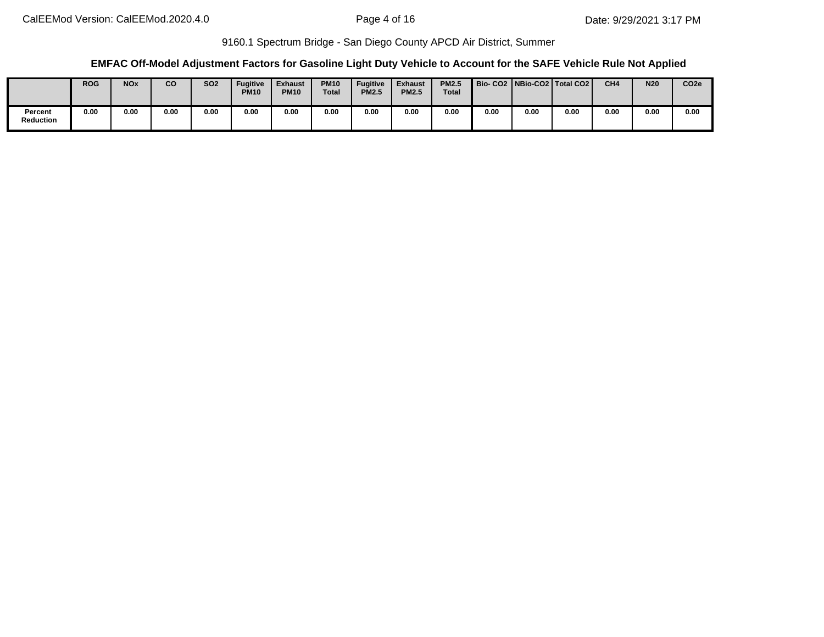### **EMFAC Off-Model Adjustment Factors for Gasoline Light Duty Vehicle to Account for the SAFE Vehicle Rule Not Applied**

|                             | <b>ROG</b> | <b>NO<sub>x</sub></b> | <b>CO</b> | <b>SO2</b> | Fugitive<br><b>PM10</b> | <b>Exhaust</b><br><b>PM10</b> | <b>PM10</b><br><b>Total</b> | <b>Fugitive</b><br><b>PM2.5</b> | <b>Exhaust</b><br><b>PM2.5</b> | <b>PM2.5</b><br><b>Total</b> |      |      | Bio-CO2 NBio-CO2 Total CO2 | CH <sub>4</sub> | <b>N20</b> | CO <sub>2e</sub> |
|-----------------------------|------------|-----------------------|-----------|------------|-------------------------|-------------------------------|-----------------------------|---------------------------------|--------------------------------|------------------------------|------|------|----------------------------|-----------------|------------|------------------|
| Percent<br><b>Reduction</b> | 0.00       | 0.00                  | 0.00      | 0.00       | 0.00                    | 0.00                          | 0.00                        | 0.00                            | 0.00                           | 0.00                         | 0.00 | 0.00 | 0.00                       | 0.00            | 0.00       | 0.00             |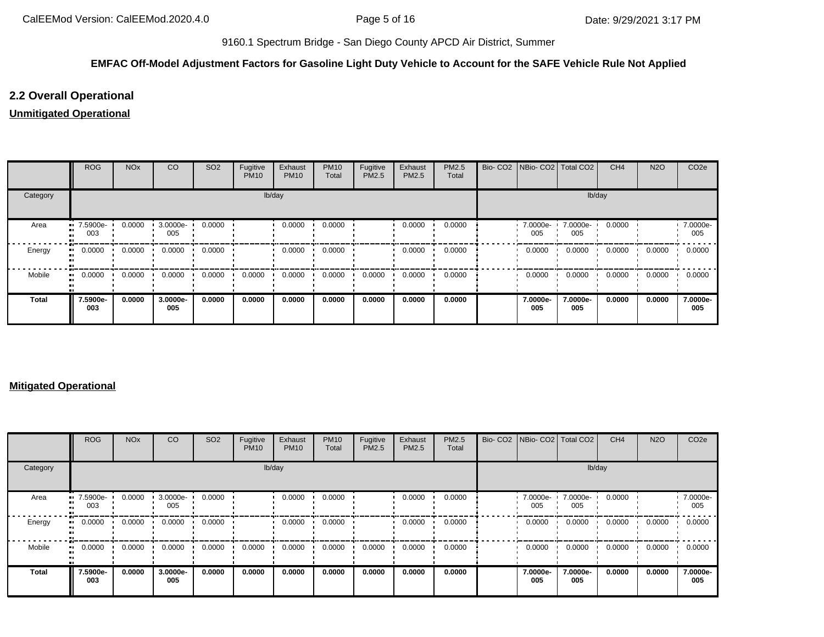## **EMFAC Off-Model Adjustment Factors for Gasoline Light Duty Vehicle to Account for the SAFE Vehicle Rule Not Applied**

# **2.2 Overall Operational**

# **Unmitigated Operational**

|          | <b>ROG</b>          | <b>NO<sub>x</sub></b> | CO              | SO <sub>2</sub> | Fugitive<br><b>PM10</b> | Exhaust<br><b>PM10</b> | <b>PM10</b><br>Total | Fugitive<br>PM2.5 | Exhaust<br>PM2.5 | PM2.5<br>Total | Bio- CO2   NBio- CO2   Total CO2 |                 | CH <sub>4</sub> | <b>N2O</b> | CO <sub>2e</sub> |
|----------|---------------------|-----------------------|-----------------|-----------------|-------------------------|------------------------|----------------------|-------------------|------------------|----------------|----------------------------------|-----------------|-----------------|------------|------------------|
| Category |                     |                       |                 |                 | lb/day                  |                        |                      |                   |                  |                |                                  | lb/day          |                 |            |                  |
| Area     | 7.5900e-<br><br>003 | 0.0000                | 3.0000e-<br>005 | 0.0000          |                         | 0.0000                 | 0.0000               |                   | 0.0000           | 0.0000         | 7.0000e-<br>005                  | 7.0000e-<br>005 | 0.0000          |            | 7.0000e-<br>005  |
| Energy   | 0.0000<br>ш.        | 0.0000                | 0.0000          | 0.0000          |                         | 0.0000                 | 0.0000               |                   | 0.0000           | 0.0000         | 0.0000                           | 0.0000          | 0.0000          | 0.0000     | 0.0000           |
| Mobile   | 0.0000<br>ш.        | 0.0000                | 0.0000          | 0.0000          | 0.0000                  | 0.0000                 | 0.0000               | 0.0000            | 0.0000           | 0.0000         | 0.0000                           | 0.0000          | 0.0000          | 0.0000     | 0.0000           |
| Total    | 7.5900e-<br>003     | 0.0000                | 3.0000e-<br>005 | 0.0000          | 0.0000                  | 0.0000                 | 0.0000               | 0.0000            | 0.0000           | 0.0000         | 7.0000e-<br>005                  | 7.0000e-<br>005 | 0.0000          | 0.0000     | 7.0000e-<br>005  |

#### **Mitigated Operational**

|          | ROG             | <b>NO<sub>x</sub></b> | CO              | SO <sub>2</sub> | Fugitive<br><b>PM10</b> | Exhaust<br><b>PM10</b> | <b>PM10</b><br>Total | Fugitive<br><b>PM2.5</b> | Exhaust<br>PM2.5 | <b>PM2.5</b><br>Total |                 | Bio- CO2 NBio- CO2   Total CO2 | CH <sub>4</sub> | <b>N2O</b> | CO <sub>2</sub> e |
|----------|-----------------|-----------------------|-----------------|-----------------|-------------------------|------------------------|----------------------|--------------------------|------------------|-----------------------|-----------------|--------------------------------|-----------------|------------|-------------------|
| Category |                 |                       |                 |                 |                         | lb/day                 |                      |                          |                  |                       |                 | lb/day                         |                 |            |                   |
| Area     | 7.5900e-<br>003 | 0.0000                | 3.0000e-<br>005 | 0.0000          |                         | 0.0000                 | 0.0000               |                          | 0.0000           | 0.0000                | 7.0000e-<br>005 | 7.0000e-<br>005                | 0.0000          |            | 7.0000e-<br>005   |
| Energy   | 0.0000          | 0.0000                | 0.0000          | 0.0000          |                         | 0.0000                 | 0.0000               |                          | 0.0000           | 0.0000                | 0.0000          | 0.0000                         | 0.0000          | 0.0000     | 0.0000            |
| Mobile   | 0.0000          | 0.0000                | 0.0000          | 0.0000          | 0.0000                  | 0.0000                 | 0.0000               | 0.0000                   | 0.0000           | 0.0000                | 0.0000          | 0.0000                         | 0.0000          | 0.0000     | 0.0000            |
| Total    | 7.5900e-<br>003 | 0.0000                | 3.0000e-<br>005 | 0.0000          | 0.0000                  | 0.0000                 | 0.0000               | 0.0000                   | 0.0000           | 0.0000                | 7.0000e-<br>005 | 7.0000e-<br>005                | 0.0000          | 0.0000     | 7.0000e-<br>005   |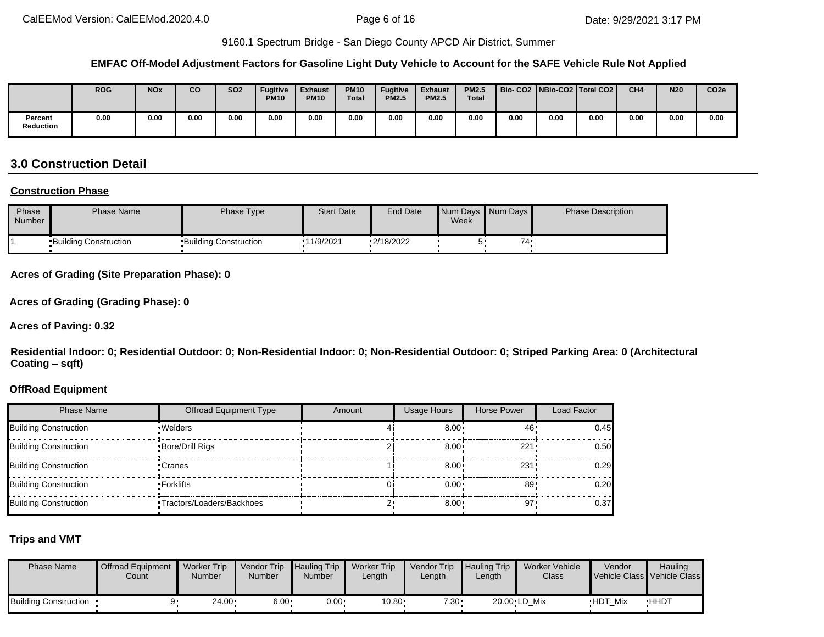#### **EMFAC Off-Model Adjustment Factors for Gasoline Light Duty Vehicle to Account for the SAFE Vehicle Rule Not Applied**

|                             | <b>ROG</b> | <b>NOx</b> | CO   | SO <sub>2</sub> | <b>Fugitive</b><br><b>PM10</b> | <b>Exhaust</b><br><b>PM10</b> | <b>PM10</b><br><b>Total</b> | <b>Fugitive</b><br><b>PM2.5</b> | <b>Exhaust</b><br><b>PM2.5</b> | <b>PM2.5</b><br><b>Total</b> |      | Bio-CO2   NBio-CO2   Total CO2 |      | CH <sub>4</sub> | <b>N20</b> | CO <sub>2e</sub> |
|-----------------------------|------------|------------|------|-----------------|--------------------------------|-------------------------------|-----------------------------|---------------------------------|--------------------------------|------------------------------|------|--------------------------------|------|-----------------|------------|------------------|
| Percent<br><b>Reduction</b> | 0.00       | 0.00       | 0.00 | 0.00            | 0.00                           | 0.00                          | 0.00                        | 0.00                            | 0.00                           | 0.00                         | 0.00 | 0.00                           | 0.00 | 0.00            | 0.00       | 0.00             |

# **3.0 Construction Detail**

#### **Construction Phase**

| Phase<br>Number | <b>Phase Name</b>            | Phase Type                   | <b>Start Date</b> | <b>End Date</b> | Week | Num Days Num Days | <b>Phase Description</b> |
|-----------------|------------------------------|------------------------------|-------------------|-----------------|------|-------------------|--------------------------|
|                 | <b>Building Construction</b> | <b>Building Construction</b> | .11/9/2021        | $-2/18/2022$    | ∽    | 74                |                          |

#### **Acres of Grading (Site Preparation Phase): 0**

**Acres of Grading (Grading Phase): 0**

#### **Acres of Paving: 0.32**

**Residential Indoor: 0; Residential Outdoor: 0; Non-Residential Indoor: 0; Non-Residential Outdoor: 0; Striped Parking Area: 0 (Architectural Coating – sqft)**

#### **OffRoad Equipment**

| <b>Phase Name</b>            | <b>Offroad Equipment Type</b> | Amount | <b>Usage Hours</b> | Horse Power | Load Factor |
|------------------------------|-------------------------------|--------|--------------------|-------------|-------------|
| Building Construction        | · Welders                     |        | $8.00 \div$        | 46          | 0.45        |
| <b>Building Construction</b> | Bore/Drill Rigs               |        | $8.00 \div$        | 221:        | 0.50        |
| Building Construction        | •Cranes                       |        | $8.00 \cdot$       | 231         | 0.29        |
| <b>Building Construction</b> | ▪Forklifts                    |        | $0.00 \cdot$       | 89          | 0.20        |
| Building Construction        | •Tractors/Loaders/Backhoes    |        | 8.00               | 97          | 0.37        |

#### **Trips and VMT**

| <b>Phase Name</b>       | <b>Offroad Equipment</b><br>Count | Worker Trip<br>Number | Vendor Trip Hauling Trip<br><b>Number</b> | Number       | <b>Worker Trip</b><br>Length | Vendor Trip<br>∟ength | Hauling Trip<br>∟ength | Worker Vehicle<br>Class | Vendor         | Hauling<br>Vehicle Class Vehicle Class |
|-------------------------|-----------------------------------|-----------------------|-------------------------------------------|--------------|------------------------------|-----------------------|------------------------|-------------------------|----------------|----------------------------------------|
| Building Construction . |                                   | $24.00 \cdot$         | $6.00 \cdot$                              | $0.00 \cdot$ | 10.80                        | $7.30 -$              |                        | 20.00 LD Mix            | <b>HDT Mix</b> | <b>HHDT</b>                            |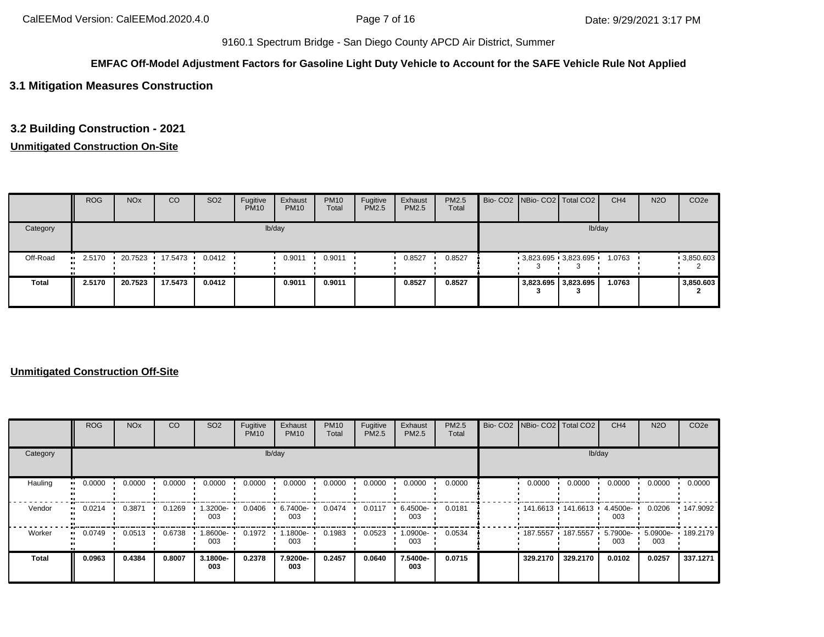#### **EMFAC Off-Model Adjustment Factors for Gasoline Light Duty Vehicle to Account for the SAFE Vehicle Rule Not Applied**

## **3.1 Mitigation Measures Construction**

### **3.2 Building Construction - 2021**

## **Unmitigated Construction On-Site**

|          | <b>ROG</b> | <b>NO<sub>x</sub></b> | CO                | SO <sub>2</sub>  | Fugitive<br><b>PM10</b> | Exhaust<br><b>PM10</b> | <b>PM10</b><br>Total | Fugitive<br>PM2.5 | Exhaust<br><b>PM2.5</b> | <b>PM2.5</b><br>Total |  | Bio- CO2 NBio- CO2 Total CO2 | CH <sub>4</sub> | <b>N2O</b> | CO <sub>2e</sub> |
|----------|------------|-----------------------|-------------------|------------------|-------------------------|------------------------|----------------------|-------------------|-------------------------|-----------------------|--|------------------------------|-----------------|------------|------------------|
| Category |            |                       |                   |                  |                         | lb/day                 |                      |                   |                         |                       |  |                              | lb/day          |            |                  |
| Off-Road | 2.5170     |                       | 20.7523 17.5473 1 | $0.0412$ $\cdot$ |                         | 0.9011                 | 0.9011               |                   | 0.8527                  | 0.8527                |  | $-3,823.695$ $-3,823.695$    | 1.0763          |            | $-3,850.603$     |
| Total    | 2.5170     | 20.7523               | 17.5473           | 0.0412           |                         | 0.9011                 | 0.9011               |                   | 0.8527                  | 0.8527                |  | 3,823.695 3,823.695          | 1.0763          |            | 3,850.603        |

#### **Unmitigated Construction Off-Site**

|               | <b>ROG</b> | <b>NO<sub>x</sub></b> | CO     | SO <sub>2</sub> | Fugitive<br><b>PM10</b> | Exhaust<br><b>PM10</b> | <b>PM10</b><br>Total | Fugitive<br>PM2.5 | Exhaust<br>PM2.5 | PM2.5<br>Total |                     | Bio- CO2   NBio- CO2   Total CO2 | CH <sub>4</sub>    | <b>N2O</b>               | CO <sub>2e</sub> |
|---------------|------------|-----------------------|--------|-----------------|-------------------------|------------------------|----------------------|-------------------|------------------|----------------|---------------------|----------------------------------|--------------------|--------------------------|------------------|
| Category      |            |                       |        |                 |                         | lb/day                 |                      |                   |                  |                |                     | lb/day                           |                    |                          |                  |
| Hauling<br>ш. | 0.0000     | 0.0000                | 0.0000 | 0.0000          | 0.0000                  | 0.0000                 | 0.0000               | 0.0000            | 0.0000           | 0.0000         | 0.0000              | 0.0000                           | 0.0000             | 0.0000                   | 0.0000           |
| Vendor        | 0.0214<br> | 0.3871                | 0.1269 | 1.3200e-<br>003 | 0.0406                  | 6.7400e-<br>003        | 0.0474               | 0.0117            | 6.4500e-<br>003  | 0.0181         | $141.6613$ 141.6613 |                                  | 4.4500e ·<br>003   | 0.0206                   | 147.9092         |
| Worker<br>ш.  | 0.0749     | 0.0513                | 0.6738 | -9006.l<br>003  | 0.1972                  | 1.1800e-<br>003        | 0.1983               | 0.0523            | -0900e. ا<br>003 | 0.0534         | $+187.5557$         | 187.5557                         | $5.7900e -$<br>003 | 5.0900e- 189.2179<br>003 |                  |
| <b>Total</b>  | 0.0963     | 0.4384                | 0.8007 | 3.1800e-<br>003 | 0.2378                  | 7.9200e-<br>003        | 0.2457               | 0.0640            | 7.5400e-<br>003  | 0.0715         | 329.2170            | 329.2170                         | 0.0102             | 0.0257                   | 337.1271         |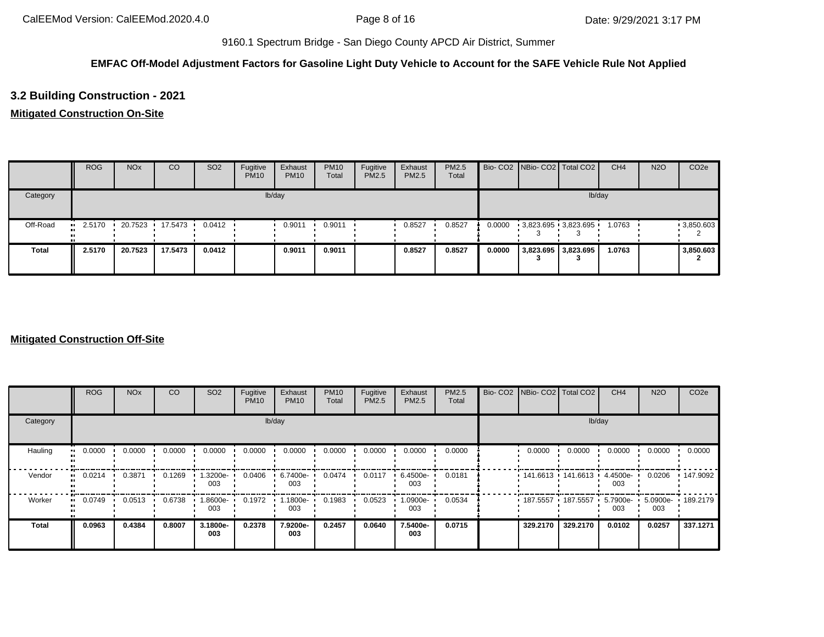## **EMFAC Off-Model Adjustment Factors for Gasoline Light Duty Vehicle to Account for the SAFE Vehicle Rule Not Applied**

# **3.2 Building Construction - 2021**

## **Mitigated Construction On-Site**

|              | <b>ROG</b> | <b>NO<sub>x</sub></b> | CO                | SO <sub>2</sub>  | Fugitive<br><b>PM10</b> | Exhaust<br><b>PM10</b> | <b>PM10</b><br>Total | Fugitive<br>PM2.5 | Exhaust<br>PM2.5 | PM2.5<br>Total |        | Bio- CO2 NBio- CO2 Total CO2 | CH <sub>4</sub> | <b>N2O</b> | CO <sub>2e</sub> |
|--------------|------------|-----------------------|-------------------|------------------|-------------------------|------------------------|----------------------|-------------------|------------------|----------------|--------|------------------------------|-----------------|------------|------------------|
| Category     |            |                       |                   |                  |                         | lb/day                 |                      |                   |                  |                |        | lb/day                       |                 |            |                  |
| Off-Road     | 2.5170<br> |                       | 20.7523 17.5473 1 | $0.0412$ $\cdot$ |                         | 0.9011                 | 0.9011               |                   | 0.8527           | 0.8527         | 0.0000 | 3,823.695 3,823.695          | 1.0763          |            | 9,850.603        |
| <b>Total</b> | 2.5170     | 20.7523               | 17.5473           | 0.0412           |                         | 0.9011                 | 0.9011               |                   | 0.8527           | 0.8527         | 0.0000 | 3,823.695 3,823.695          | 1.0763          |            | 3,850.603        |

#### **Mitigated Construction Off-Site**

|                        | <b>ROG</b>          | <b>NO<sub>x</sub></b> | CO     | SO <sub>2</sub> | Fugitive<br><b>PM10</b> | Exhaust<br><b>PM10</b> | <b>PM10</b><br>Total | Fugitive<br>PM2.5 | Exhaust<br>PM2.5 | PM2.5<br>Total | Bio- CO2 NBio- CO2 Total CO2 |          | CH <sub>4</sub>   | <b>N2O</b>               | CO <sub>2e</sub> |
|------------------------|---------------------|-----------------------|--------|-----------------|-------------------------|------------------------|----------------------|-------------------|------------------|----------------|------------------------------|----------|-------------------|--------------------------|------------------|
| Category               |                     |                       |        |                 |                         | lb/day                 |                      |                   |                  |                |                              | lb/day   |                   |                          |                  |
| Hauling                | 0.0000<br>$\bullet$ | 0.0000                | 0.0000 | 0.0000          | 0.0000                  | 0.0000                 | 0.0000               | 0.0000            | 0.0000           | 0.0000         | 0.0000                       | 0.0000   | 0.0000            | 0.0000                   | 0.0000           |
| Vendor<br>$\mathbf{u}$ | 0.0214              | 0.3871                | 0.1269 | 1.3200e-<br>003 | 0.0406                  | 6.7400e-<br>003        | 0.0474               | 0.0117            | 6.4500e-<br>003  | 0.0181         | 141.6613 141.6613            |          | 4.4500e-<br>003   | 0.0206                   | 147.9092         |
| Worker<br>$\bullet$    | 0.0749              | 0.0513                | 0.6738 | 1.8600e-<br>003 | 0.1972                  | $1.1800e -$<br>003     | 0.1983               | 0.0523            | .0900e-<br>003   | 0.0534         | 187.5557 187.5557            |          | $5.7900e-$<br>003 | 5.0900e- 189.2179<br>003 |                  |
| <b>Total</b>           | 0.0963              | 0.4384                | 0.8007 | 3.1800e-<br>003 | 0.2378                  | 7.9200e-<br>003        | 0.2457               | 0.0640            | 7.5400e-<br>003  | 0.0715         | 329,2170                     | 329,2170 | 0.0102            | 0.0257                   | 337.1271         |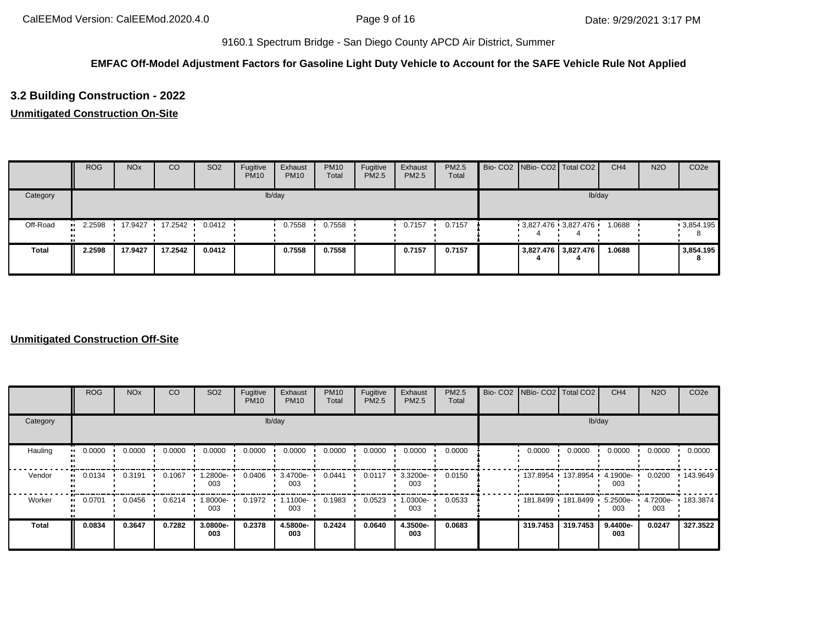## **EMFAC Off-Model Adjustment Factors for Gasoline Light Duty Vehicle to Account for the SAFE Vehicle Rule Not Applied**

# **3.2 Building Construction - 2022**

# **Unmitigated Construction On-Site**

|              | <b>ROG</b> | <b>NO<sub>x</sub></b> | CO      | SO <sub>2</sub> | Fugitive<br><b>PM10</b> | Exhaust<br><b>PM10</b> | <b>PM10</b><br>Total | Fugitive<br>PM2.5 | Exhaust<br><b>PM2.5</b> | <b>PM2.5</b><br>Total |  | Bio- CO2 NBio- CO2 Total CO2 | CH <sub>4</sub> | <b>N2O</b> | CO <sub>2e</sub> |
|--------------|------------|-----------------------|---------|-----------------|-------------------------|------------------------|----------------------|-------------------|-------------------------|-----------------------|--|------------------------------|-----------------|------------|------------------|
| Category     |            |                       |         |                 |                         | lb/day                 |                      |                   |                         |                       |  | lb/day                       |                 |            |                  |
| Off-Road     | 2.2598<br> | 17.9427               | 17.2542 | 0.0412          |                         | 0.7558                 | 0.7558               |                   | 0.7157                  | 0.7157                |  | $3,827.476$ 3,827.476        | 1.0688          |            | .3,854.195       |
| <b>Total</b> | 2.2598     | 17.9427               | 17.2542 | 0.0412          |                         | 0.7558                 | 0.7558               |                   | 0.7157                  | 0.7157                |  | 3,827.476 3,827.476          | 1.0688          |            | 3,854.195<br>o   |

### **Unmitigated Construction Off-Site**

|              | <b>ROG</b>                 | <b>NO<sub>x</sub></b> | CO     | SO <sub>2</sub> | Fugitive<br><b>PM10</b> | Exhaust<br><b>PM10</b> | <b>PM10</b><br>Total | Fugitive<br>PM2.5 | Exhaust<br>PM2.5 | PM2.5<br>Total | Bio- CO2 NBio- CO2 Total CO2 |                   | CH <sub>4</sub>    | <b>N2O</b>               | CO <sub>2e</sub> |
|--------------|----------------------------|-----------------------|--------|-----------------|-------------------------|------------------------|----------------------|-------------------|------------------|----------------|------------------------------|-------------------|--------------------|--------------------------|------------------|
| Category     |                            |                       |        |                 |                         | lb/day                 |                      |                   |                  |                |                              |                   | lb/day             |                          |                  |
| Hauling      | 0.0000<br>$\bullet\bullet$ | 0.0000                | 0.0000 | 0.0000          | 0.0000                  | 0.0000                 | 0.0000               | 0.0000            | 0.0000           | 0.0000         | 0.0000                       | 0.0000            | 0.0000             | 0.0000                   | 0.0000           |
| Vendor       | 0.0134<br>$\bullet$        | 0.3191                | 0.1067 | 1.2800e-<br>003 | 0.0406                  | 3.4700e-<br>003        | 0.0441               | 0.0117            | 3.3200e-<br>003  | 0.0150         | 137.8954 137.8954            |                   | $4.1900e -$<br>003 | 0.0200                   | .143.9649        |
| Worker       | 0.0701<br>$\bullet\bullet$ | 0.0456                | 0.6214 | 1.8000e-<br>003 | 0.1972                  | 1.1100e-<br>003        | 0.1983               | 0.0523            | .0300e-<br>003   | 0.0533         |                              | 181.8499 181.8499 | $5.2500e -$<br>003 | 4.7200e- 183.3874<br>003 |                  |
| <b>Total</b> | 0.0834                     | 0.3647                | 0.7282 | 3.0800e-<br>003 | 0.2378                  | 4.5800e-<br>003        | 0.2424               | 0.0640            | 4.3500e-<br>003  | 0.0683         | 319.7453                     | 319.7453          | 9.4400e-<br>003    | 0.0247                   | 327.3522         |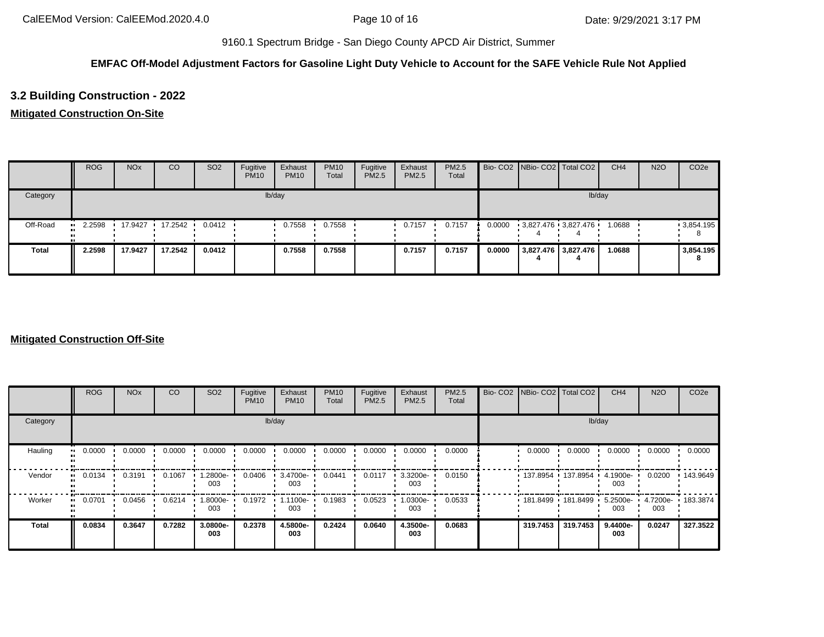## **EMFAC Off-Model Adjustment Factors for Gasoline Light Duty Vehicle to Account for the SAFE Vehicle Rule Not Applied**

# **3.2 Building Construction - 2022**

### **Mitigated Construction On-Site**

|              | <b>ROG</b> | <b>NO<sub>x</sub></b> | CO      | SO <sub>2</sub>  | Fugitive<br><b>PM10</b> | Exhaust<br><b>PM10</b> | <b>PM10</b><br>Total | Fugitive<br>PM2.5 | Exhaust<br>PM2.5 | <b>PM2.5</b><br>Total |        | Bio- CO2 NBio- CO2 Total CO2 | CH <sub>4</sub> | <b>N2O</b> | CO <sub>2e</sub> |
|--------------|------------|-----------------------|---------|------------------|-------------------------|------------------------|----------------------|-------------------|------------------|-----------------------|--------|------------------------------|-----------------|------------|------------------|
| Category     |            |                       |         |                  |                         | lb/day                 |                      |                   |                  |                       |        | lb/day                       |                 |            |                  |
| Off-Road     | 2.2598     | 17.9427               | 17.2542 | $0.0412$ $\cdot$ |                         | 0.7558                 | 0.7558               |                   | 0.7157           | 0.7157                | 0.0000 | 3,827.476 3,827.476          | 1.0688          |            | 9,854.195        |
| <b>Total</b> | 2.2598     | 17.9427               | 17.2542 | 0.0412           |                         | 0.7558                 | 0.7558               |                   | 0.7157           | 0.7157                | 0.0000 | 3,827.476 3,827.476          | 1.0688          |            | 3,854.195<br>8   |

#### **Mitigated Construction Off-Site**

|                         | <b>ROG</b>   | <b>NO<sub>x</sub></b> | CO     | SO <sub>2</sub> | Fugitive<br><b>PM10</b> | Exhaust<br><b>PM10</b> | <b>PM10</b><br>Total | Fugitive<br><b>PM2.5</b> | Exhaust<br>PM2.5 | PM2.5<br>Total | Bio- CO2 NBio- CO2 Total CO2 |                     | CH <sub>4</sub>    | <b>N2O</b> | CO <sub>2e</sub> |
|-------------------------|--------------|-----------------------|--------|-----------------|-------------------------|------------------------|----------------------|--------------------------|------------------|----------------|------------------------------|---------------------|--------------------|------------|------------------|
| Category                |              |                       |        |                 |                         | lb/day                 |                      |                          |                  |                |                              |                     | lb/day             |            |                  |
| Hauling<br>$\mathbf{u}$ | 0.0000       | 0.0000                | 0.0000 | 0.0000          | 0.0000                  | 0.0000                 | 0.0000               | 0.0000                   | 0.0000           | 0.0000         | 0.0000                       | 0.0000              | 0.0000             | 0.0000     | 0.0000           |
| Vendor                  | 0.0134<br>ш. | 0.3191                | 0.1067 | -2800e.<br>003  | 0.0406                  | 3.4700e-<br>003        | 0.0441               | 0.0117                   | 3.3200e-<br>003  | 0.0150         |                              | 137.8954 137.8954 ' | 4.1900e-<br>003    | 0.0200     | 143.9649         |
| Worker<br>$\bullet$     | 0.0701       | 0.0456                | 0.6214 | -.8000e<br>003  | 0.1972                  | 1.1100e-<br>003        | 0.1983               | 0.0523                   | -0300e.<br>003   | 0.0533         |                              | 181.8499 181.8499   | $5.2500e -$<br>003 | 003        | 4.7200e-183.3874 |
| <b>Total</b>            | 0.0834       | 0.3647                | 0.7282 | 3.0800e-<br>003 | 0.2378                  | 4.5800e-<br>003        | 0.2424               | 0.0640                   | 4.3500e-<br>003  | 0.0683         | 319.7453                     | 319,7453            | 9.4400e-<br>003    | 0.0247     | 327.3522         |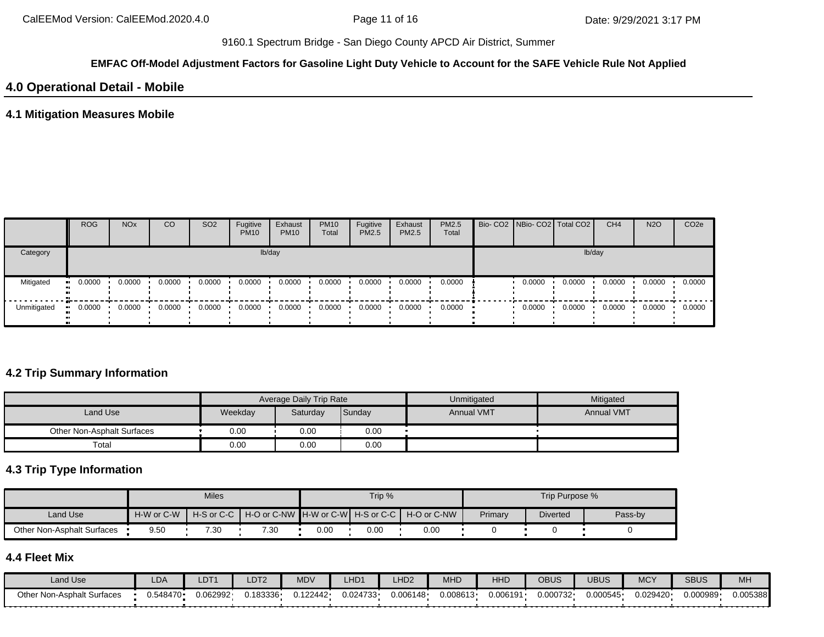#### **EMFAC Off-Model Adjustment Factors for Gasoline Light Duty Vehicle to Account for the SAFE Vehicle Rule Not Applied**

# **4.0 Operational Detail - Mobile**

## **4.1 Mitigation Measures Mobile**

|             | <b>ROG</b>           | <b>NO<sub>x</sub></b> | CO              | SO <sub>2</sub> | Fugitive<br><b>PM10</b> | Exhaust<br><b>PM10</b> | <b>PM10</b><br>Total | Fugitive<br><b>PM2.5</b> | Exhaust<br><b>PM2.5</b> | <b>PM2.5</b><br>Total |        | Bio- CO2 NBio- CO2   Total CO2 | CH <sub>4</sub> | <b>N2O</b> | CO <sub>2e</sub> |
|-------------|----------------------|-----------------------|-----------------|-----------------|-------------------------|------------------------|----------------------|--------------------------|-------------------------|-----------------------|--------|--------------------------------|-----------------|------------|------------------|
| Category    |                      |                       |                 |                 |                         | lb/day                 |                      |                          |                         |                       |        |                                | lb/day          |            |                  |
| Mitigated   | 0.0000<br><b>ALC</b> | 0.0000                | 0.0000          | 0.0000          | 0.0000                  | 0.0000                 | 0.0000               | 0.0000                   | 0.0000                  | 0.0000                | 0.0000 | 0.0000                         | 0.0000          | 0.0000     | 0.0000           |
| Unmitigated | 0.0000               |                       | $0.0000$ 0.0000 | 0.0000          | 0.0000                  | 0.0000                 | 0.0000               | 0.0000                   | 0.0000                  | 0.0000                | 0.0000 | 0.0000                         | 0.0000          | 0.0000     | 0.0000           |

## **4.2 Trip Summary Information**

|                            |         | Average Daily Trip Rate |        | Unmitigated       | Mitigated         |
|----------------------------|---------|-------------------------|--------|-------------------|-------------------|
| Land Use                   | Weekday | Saturday                | Sunday | <b>Annual VMT</b> | <b>Annual VMT</b> |
| Other Non-Asphalt Surfaces | 0.00    | 0.00                    | 0.00   |                   |                   |
| Total                      | 0.00    | 0.00                    | 0.00   |                   |                   |

# **4.3 Trip Type Information**

|                            |            | <b>Miles</b> |                                                    |      | Trip %   |             |         | Trip Purpose %  |         |
|----------------------------|------------|--------------|----------------------------------------------------|------|----------|-------------|---------|-----------------|---------|
| Land Use                   | H-W or C-W |              | H-S or C-C I H-O or C-NW IH-W or C-WI H-S or C-C I |      |          | H-O or C-NW | Primary | <b>Diverted</b> | Pass-by |
| Other Non-Asphalt Surfaces | 9.50       | 7.30         | 7.30                                               | 0.00 | $0.00\,$ | 0.00        |         |                 |         |

# **4.4 Fleet Mix**

| Land Use                      | LDA       | LDT <sup>.</sup> | LDT2    | <b>MDV</b> | _HD <sub>1</sub> | _HD <sub>2</sub> | <b>MHD</b> | HHD      | OBUS     | UBUS     | <b>MCY</b> | <b>SBUS</b> | MH       |
|-------------------------------|-----------|------------------|---------|------------|------------------|------------------|------------|----------|----------|----------|------------|-------------|----------|
| Non-Asphalt Surfaces<br>Other | ∪.548470∙ | J.062992·        | 183336. | 0.122442   | 0.024733         | 0.006148         | 0.008613   | J.006191 | 0.000732 | 0.000545 | 0.029420   | 0.000989    | 0.005388 |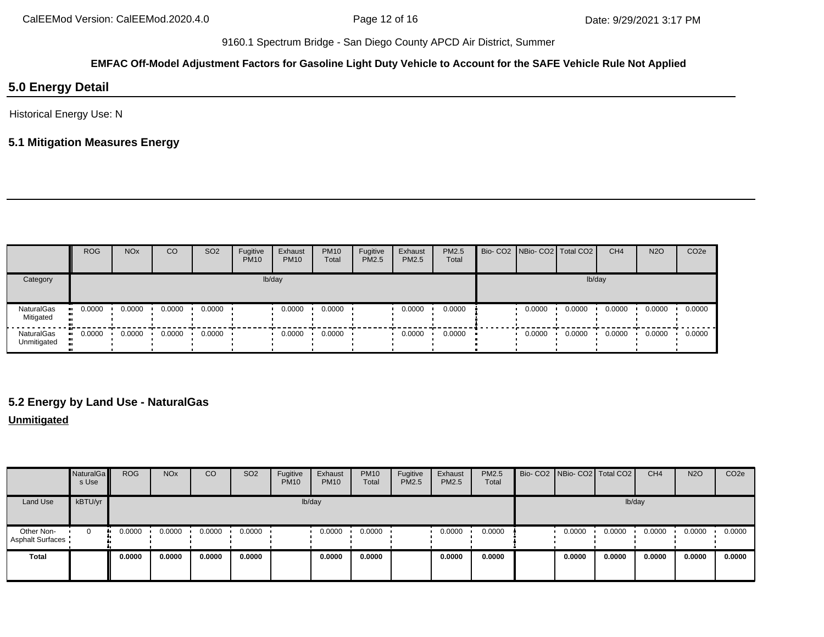# **EMFAC Off-Model Adjustment Factors for Gasoline Light Duty Vehicle to Account for the SAFE Vehicle Rule Not Applied**

# **5.0 Energy Detail**

Historical Energy Use: N

# **5.1 Mitigation Measures Energy**

|                                  | <b>ROG</b> | <b>NO<sub>x</sub></b> | <b>CO</b> | SO <sub>2</sub> | Fugitive<br><b>PM10</b> | Exhaust<br><b>PM10</b> | <b>PM10</b><br>Total | Fugitive<br><b>PM2.5</b> | Exhaust<br>PM2.5 | PM2.5<br>Total | Bio- CO2 NBio- CO2   Total CO2 |        |        | CH <sub>4</sub> | <b>N2O</b> | CO <sub>2e</sub> |
|----------------------------------|------------|-----------------------|-----------|-----------------|-------------------------|------------------------|----------------------|--------------------------|------------------|----------------|--------------------------------|--------|--------|-----------------|------------|------------------|
| Category                         |            |                       |           |                 |                         | lb/day                 |                      |                          |                  |                |                                |        | lb/day |                 |            |                  |
| <b>NaturalGas</b><br>Mitigated   | 0.0000     | 0.0000                | 0.0000    | 0.0000          |                         | 0.0000                 | 0.0000               |                          | 0.0000           | 0.0000         |                                | 0.0000 | 0.0000 | 0.0000          | 0.0000     | 0.0000           |
| <b>NaturalGas</b><br>Unmitigated | 0.0000     | 0.0000                | 0.0000    | 0.0000          |                         | 0.0000                 | 0.0000               |                          | 0.0000           | 0.0000         |                                | 0.0000 | 0.0000 | 0.0000          | 0.0000     | 0.0000           |

# **5.2 Energy by Land Use - NaturalGas**

#### **Unmitigated**

|                                       | NaturalGa<br>s Use | <b>ROG</b> | <b>NO<sub>x</sub></b> | CO     | SO <sub>2</sub> | Fugitive<br><b>PM10</b> | Exhaust<br><b>PM10</b> | <b>PM10</b><br>Total | Fugitive<br><b>PM2.5</b> | Exhaust<br>PM2.5 | PM2.5<br>Total | Bio- CO2 NBio- CO2   Total CO2 |        | CH <sub>4</sub> | <b>N2O</b> | CO <sub>2e</sub> |
|---------------------------------------|--------------------|------------|-----------------------|--------|-----------------|-------------------------|------------------------|----------------------|--------------------------|------------------|----------------|--------------------------------|--------|-----------------|------------|------------------|
| Land Use                              | kBTU/yr            |            |                       |        |                 | lb/day                  |                        |                      |                          |                  |                |                                | lb/day |                 |            |                  |
| Other Non-<br><b>Asphalt Surfaces</b> | $\mathbf{0}$       | 0.0000     | 0.0000                | 0.0000 | 0.0000          |                         | 0.0000                 | 0.0000               |                          | 0.0000           | 0.0000         | 0.0000                         | 0.0000 | 0.0000          | 0.0000     | 0.0000           |
| <b>Total</b>                          |                    | 0.0000     | 0.0000                | 0.0000 | 0.0000          |                         | 0.0000                 | 0.0000               |                          | 0.0000           | 0.0000         | 0.0000                         | 0.0000 | 0.0000          | 0.0000     | 0.0000           |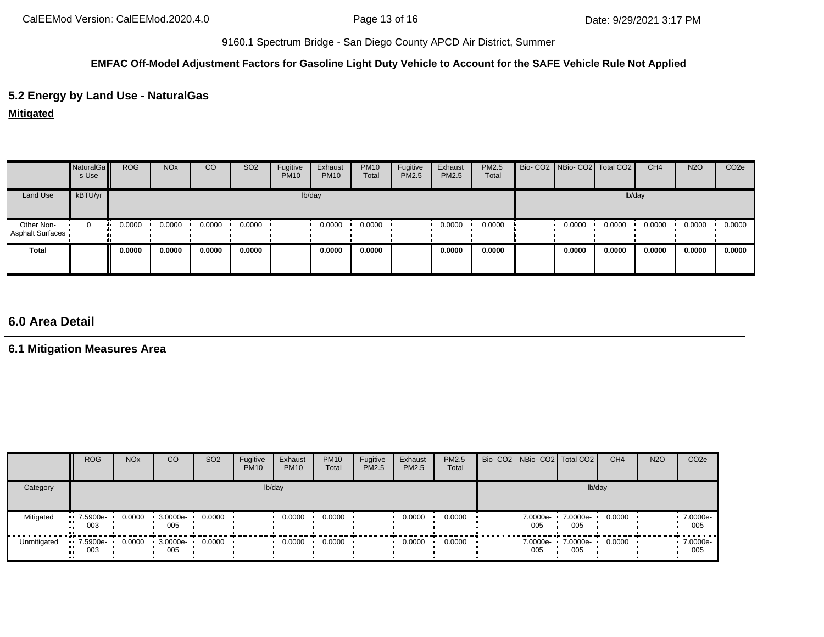## **EMFAC Off-Model Adjustment Factors for Gasoline Light Duty Vehicle to Account for the SAFE Vehicle Rule Not Applied**

# **5.2 Energy by Land Use - NaturalGas**

**Mitigated**

|                                       | NaturalGa<br>s Use | <b>ROG</b> | <b>NO<sub>x</sub></b> | CO     | SO <sub>2</sub> | Fugitive<br><b>PM10</b> | Exhaust<br><b>PM10</b> | <b>PM10</b><br>Total | Fugitive<br>PM2.5 | Exhaust<br>PM2.5 | PM2.5<br>Total | Bio- CO2 NBio- CO2 Total CO2 |        |        | CH <sub>4</sub> | <b>N2O</b> | CO <sub>2e</sub> |
|---------------------------------------|--------------------|------------|-----------------------|--------|-----------------|-------------------------|------------------------|----------------------|-------------------|------------------|----------------|------------------------------|--------|--------|-----------------|------------|------------------|
| Land Use                              | kBTU/yr            |            |                       |        |                 |                         | lb/day                 |                      |                   |                  |                |                              |        | lb/day |                 |            |                  |
| Other Non-<br><b>Asphalt Surfaces</b> | $\Omega$           | 0.0000     | 0.0000                | 0.0000 | 0.0000          |                         | 0.0000                 | 0.0000               |                   | 0.0000           | 0.0000         |                              | 0.0000 | 0.0000 | 0.0000          | 0.0000     | 0.0000           |
| <b>Total</b>                          |                    | 0.0000     | 0.0000                | 0.0000 | 0.0000          |                         | 0.0000                 | 0.0000               |                   | 0.0000           | 0.0000         |                              | 0.0000 | 0.0000 | 0.0000          | 0.0000     | 0.0000           |

# **6.0 Area Detail**

**6.1 Mitigation Measures Area**

|             | <b>ROG</b>         | <b>NO<sub>x</sub></b> | CO              | SO <sub>2</sub> | Fugitive<br><b>PM10</b> | Exhaust<br><b>PM10</b> | <b>PM10</b><br>Total | Fugitive<br><b>PM2.5</b> | Exhaust<br><b>PM2.5</b> | <b>PM2.5</b><br>Total | Bio- CO2 NBio- CO2 Total CO2 |                 | CH <sub>4</sub> | <b>N2O</b> | CO <sub>2e</sub> |
|-------------|--------------------|-----------------------|-----------------|-----------------|-------------------------|------------------------|----------------------|--------------------------|-------------------------|-----------------------|------------------------------|-----------------|-----------------|------------|------------------|
| Category    |                    |                       |                 |                 | lb/day                  |                        |                      |                          |                         |                       |                              | lb/day          |                 |            |                  |
| Mitigated   | $-7.5900e-$<br>003 | 0.0000                | 3.0000e-<br>005 | 0.0000          |                         | 0.0000                 | 0.0000               |                          | 0.0000                  | 0.0000                | 7.0000e-<br>005              | 7.0000e-<br>005 | 0.0000          |            | 7.0000e-<br>005  |
| Unmitigated | 7.5900e-<br>003    | 0.0000                | 3.0000e-<br>005 | 0.0000          |                         | 0.0000                 | 0.0000               |                          | 0.0000                  | 0.0000                | 7.0000e-<br>005              | 7.0000e-<br>005 | 0.0000          |            | 7.0000e-<br>005  |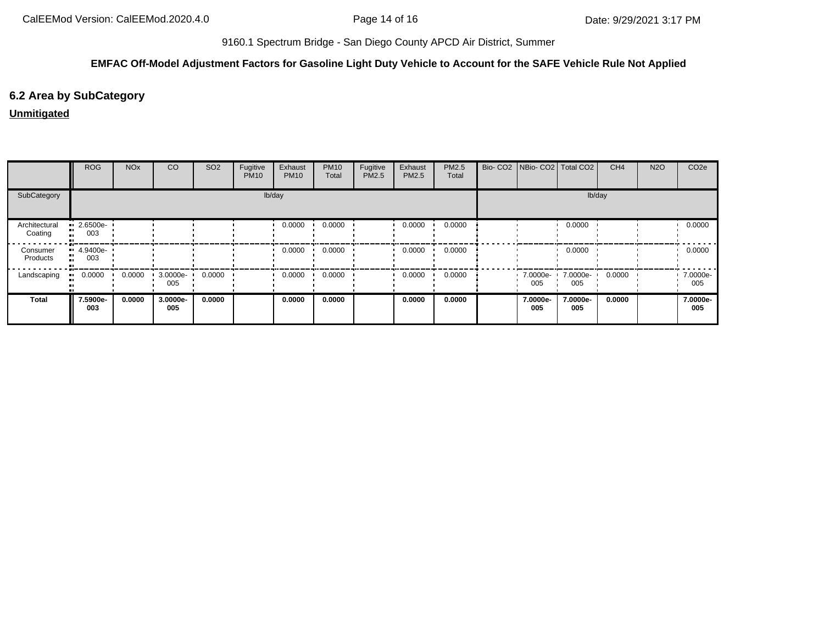## **EMFAC Off-Model Adjustment Factors for Gasoline Light Duty Vehicle to Account for the SAFE Vehicle Rule Not Applied**

# **6.2 Area by SubCategory**

# **Unmitigated**

|                          | <b>ROG</b>      | <b>NO<sub>x</sub></b> | CO              | SO <sub>2</sub> | Fugitive<br><b>PM10</b> | Exhaust<br><b>PM10</b> | <b>PM10</b><br>Total | Fugitive<br>PM2.5 | Exhaust<br><b>PM2.5</b> | PM2.5<br>Total | Bio- CO2   NBio- CO2   Total CO2 |                 | CH <sub>4</sub> | <b>N2O</b> | CO <sub>2</sub> e |
|--------------------------|-----------------|-----------------------|-----------------|-----------------|-------------------------|------------------------|----------------------|-------------------|-------------------------|----------------|----------------------------------|-----------------|-----------------|------------|-------------------|
| SubCategory              |                 |                       |                 |                 |                         | lb/day                 |                      |                   |                         |                |                                  |                 | lb/day          |            |                   |
| Architectural<br>Coating | 2.6500e-<br>003 |                       |                 |                 |                         | 0.0000                 | 0.0000               |                   | 0.0000                  | 0.0000         |                                  | 0.0000          |                 |            | 0.0000            |
| Consumer<br>Products     | 4.9400e-<br>003 |                       |                 |                 |                         | 0.0000                 | 0.0000               |                   | 0.0000                  | 0.0000         |                                  | 0.0000          |                 |            | 0.0000            |
| Landscaping              | 0.0000          | 0.0000                | 3.0000e-<br>005 | 0.0000          |                         | 0.0000                 | 0.0000               |                   | 0.0000                  | 0.0000         | 7.0000e- <b>1</b><br>005         | 7.0000e-<br>005 | 0.0000          |            | 7.0000e-<br>005   |
| <b>Total</b>             | 7.5900e-<br>003 | 0.0000                | 3.0000e-<br>005 | 0.0000          |                         | 0.0000                 | 0.0000               |                   | 0.0000                  | 0.0000         | 7.0000e-<br>005                  | 7.0000e-<br>005 | 0.0000          |            | 7.0000e-<br>005   |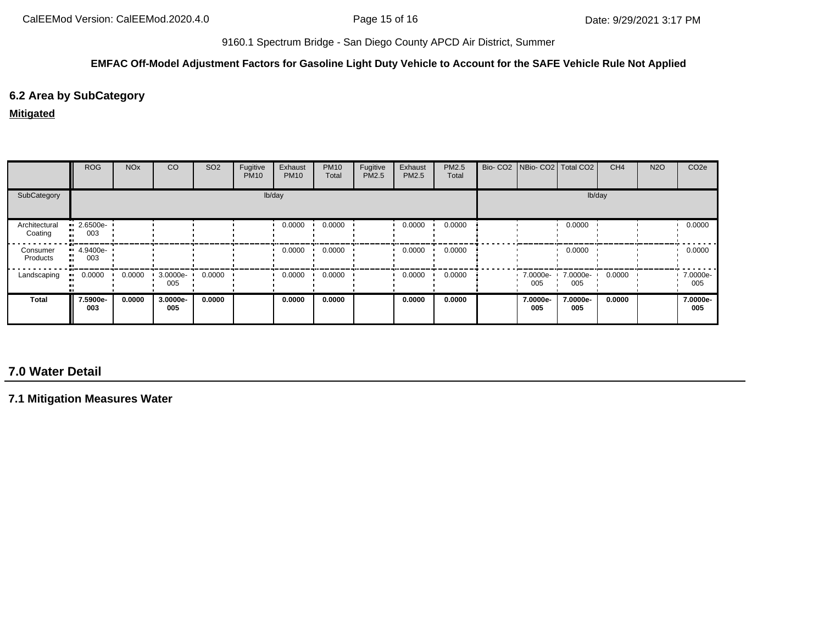#### **EMFAC Off-Model Adjustment Factors for Gasoline Light Duty Vehicle to Account for the SAFE Vehicle Rule Not Applied**

# **6.2 Area by SubCategory**

#### **Mitigated**

|                          | <b>ROG</b>                | <b>NO<sub>x</sub></b> | CO              | SO <sub>2</sub> | Fugitive<br><b>PM10</b> | Exhaust<br><b>PM10</b> | <b>PM10</b><br>Total | Fugitive<br>PM2.5 | Exhaust<br><b>PM2.5</b> | PM2.5<br>Total | Bio- CO2 NBio- CO2 Total CO2 |                 | CH <sub>4</sub> | <b>N2O</b> | CO <sub>2e</sub> |
|--------------------------|---------------------------|-----------------------|-----------------|-----------------|-------------------------|------------------------|----------------------|-------------------|-------------------------|----------------|------------------------------|-----------------|-----------------|------------|------------------|
| SubCategory              |                           |                       |                 |                 | lb/day                  |                        |                      |                   |                         |                |                              |                 | lb/day          |            |                  |
| Architectural<br>Coating | $\cdot$ 2.6500e-<br>003   |                       |                 |                 |                         | 0.0000                 | 0.0000               |                   | 0.0000                  | 0.0000         |                              | 0.0000          |                 |            | 0.0000           |
| Consumer<br>Products     | $-4.9400e-$<br>. .<br>003 |                       |                 |                 |                         | 0.0000                 | 0.0000               |                   | 0.0000                  | 0.0000         |                              | 0.0000          |                 |            | 0.0000           |
| Landscaping              | 0.0000                    | 0.0000                | 3.0000e-<br>005 | 0.0000          |                         | 0.0000                 | 0.0000               |                   | 0.0000                  | 0.0000         | 7.0000e-<br>005              | 7.0000e-<br>005 | 0.0000          |            | 7.0000e-<br>005  |
| <b>Total</b>             | 7.5900e-<br>003           | 0.0000                | 3.0000e-<br>005 | 0.0000          |                         | 0.0000                 | 0.0000               |                   | 0.0000                  | 0.0000         | 7.0000e-<br>005              | 7.0000e-<br>005 | 0.0000          |            | 7.0000e-<br>005  |

# **7.0 Water Detail**

**7.1 Mitigation Measures Water**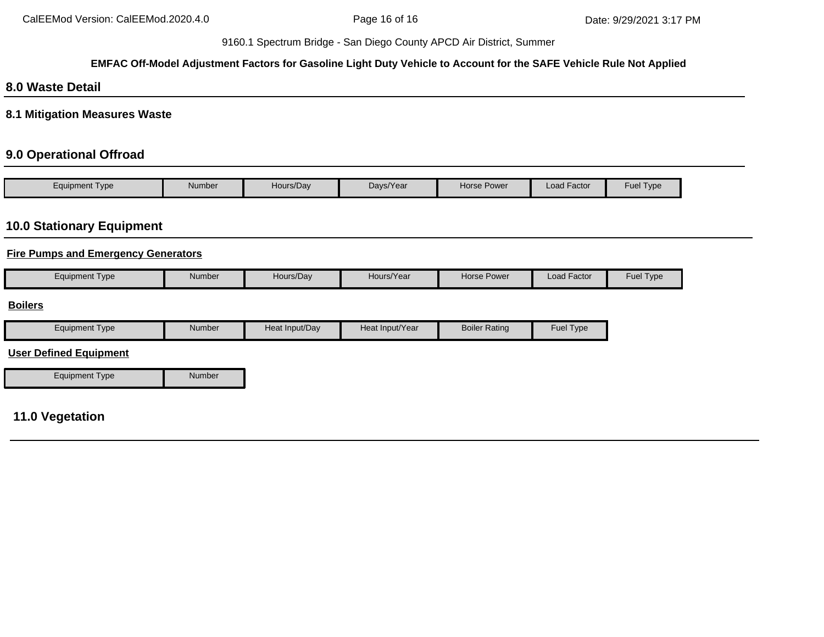#### **EMFAC Off-Model Adjustment Factors for Gasoline Light Duty Vehicle to Account for the SAFE Vehicle Rule Not Applied**

# **8.0 Waste Detail**

**8.1 Mitigation Measures Waste**

# **9.0 Operational Offroad**

| Type<br>Equipment | Number | Hours/Day | Days/Year | Horse Power | $\cdot$ $-$<br>Load Factor | Fuel $\tau$<br>Type |
|-------------------|--------|-----------|-----------|-------------|----------------------------|---------------------|

# **10.0 Stationary Equipment**

## **Fire Pumps and Emergency Generators**

|  | Equipment Type | Number | Hours/Dav | Hours/Year | Horse Power | . .<br>Load Factor | <b>Fuel Type</b> |
|--|----------------|--------|-----------|------------|-------------|--------------------|------------------|
|--|----------------|--------|-----------|------------|-------------|--------------------|------------------|

### **Boilers**

| Type<br>Equipment | Number | Ln <sub>0</sub><br>Heat Input/Dav | Heat Input/Year | Boiler<br>Rating | <b>Fuel Type</b> |
|-------------------|--------|-----------------------------------|-----------------|------------------|------------------|
|                   |        |                                   |                 |                  |                  |

### **User Defined Equipment**

Equipment Type Number

# **11.0 Vegetation**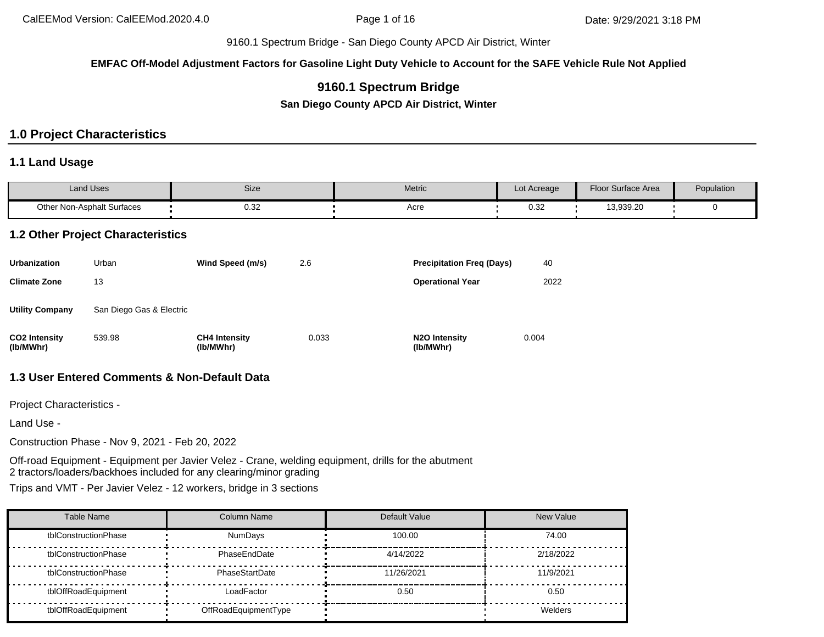**EMFAC Off-Model Adjustment Factors for Gasoline Light Duty Vehicle to Account for the SAFE Vehicle Rule Not Applied**

# **9160.1 Spectrum Bridge**

**San Diego County APCD Air District, Winter**

# **1.0 Project Characteristics**

#### **1.1 Land Usage**

| Land Uses                  | Size                                           | Metric | Lot Acreage | Floor Surface Area | Population |
|----------------------------|------------------------------------------------|--------|-------------|--------------------|------------|
| Other Non-Asphalt Surfaces | ר פר<br>ש.ט<br>the contract of the contract of | Acre   | ົ່<br>∪.∪∠  | 13,939.20          |            |

### **1.2 Other Project Characteristics**

| <b>Urbanization</b>               | Urban                    | Wind Speed (m/s)                  | 2.6   | <b>Precipitation Freg (Days)</b>        | 40    |
|-----------------------------------|--------------------------|-----------------------------------|-------|-----------------------------------------|-------|
| <b>Climate Zone</b>               | 13                       |                                   |       | <b>Operational Year</b>                 | 2022  |
| <b>Utility Company</b>            | San Diego Gas & Electric |                                   |       |                                         |       |
| <b>CO2</b> Intensity<br>(lb/MWhr) | 539.98                   | <b>CH4 Intensity</b><br>(lb/MWhr) | 0.033 | N <sub>2</sub> O Intensity<br>(lb/MWhr) | 0.004 |

## **1.3 User Entered Comments & Non-Default Data**

Project Characteristics -

Land Use -

Construction Phase - Nov 9, 2021 - Feb 20, 2022

Off-road Equipment - Equipment per Javier Velez - Crane, welding equipment, drills for the abutment 2 tractors/loaders/backhoes included for any clearing/minor grading

Trips and VMT - Per Javier Velez - 12 workers, bridge in 3 sections

| Table Name           | Column Name          | Default Value | <b>New Value</b> |
|----------------------|----------------------|---------------|------------------|
| tblConstructionPhase | <b>NumDays</b>       | 100.00        | 74.00            |
| tblConstructionPhase | PhaseEndDate         | 4/14/2022     | 2/18/2022        |
| tblConstructionPhase | PhaseStartDate       | 11/26/2021    | 11/9/2021        |
| tblOffRoadEquipment  | LoadFactor           | 0.50          | 0.50             |
| tblOffRoadEquipment  | OffRoadEquipmentType |               | Welders          |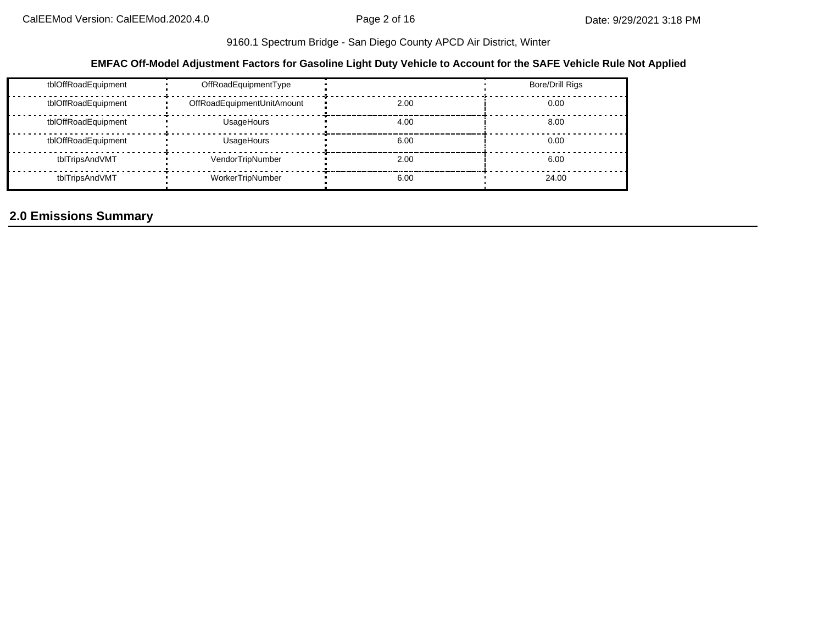### **EMFAC Off-Model Adjustment Factors for Gasoline Light Duty Vehicle to Account for the SAFE Vehicle Rule Not Applied**

| tblOffRoadEquipment | OffRoadEquipmentType       |      | Bore/Drill Rigs |
|---------------------|----------------------------|------|-----------------|
| tblOffRoadEquipment | OffRoadEquipmentUnitAmount | 2.00 | 0.00            |
| tblOffRoadEquipment | UsageHours                 | 4.00 | 8.00            |
| tblOffRoadEquipment | UsageHours                 | 6.00 | 0.00            |
| tblTripsAndVMT      | VendorTripNumber           | 2.00 | 6.00            |
| tblTripsAndVMT      | WorkerTripNumber           | 6.00 | 24.00           |

# **2.0 Emissions Summary**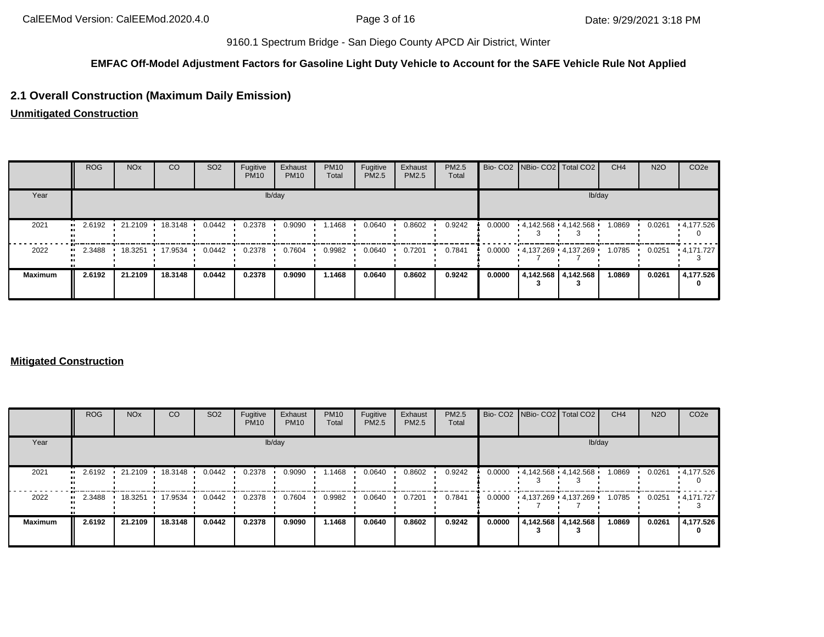## **EMFAC Off-Model Adjustment Factors for Gasoline Light Duty Vehicle to Account for the SAFE Vehicle Rule Not Applied**

# **2.1 Overall Construction (Maximum Daily Emission)**

**Unmitigated Construction**

|                | ROG    | <b>NO<sub>x</sub></b> | <b>CO</b> | SO <sub>2</sub> | Fugitive<br><b>PM10</b> | Exhaust<br><b>PM10</b> | <b>PM10</b><br>Total | Fugitive<br>PM2.5 | Exhaust<br>PM2.5 | PM2.5<br>Total |        | Bio- CO2 NBio- CO2 Total CO2 | CH <sub>4</sub> | <b>N2O</b> | CO <sub>2e</sub>      |
|----------------|--------|-----------------------|-----------|-----------------|-------------------------|------------------------|----------------------|-------------------|------------------|----------------|--------|------------------------------|-----------------|------------|-----------------------|
| Year           |        |                       |           |                 |                         | lb/day                 |                      |                   |                  |                |        | lb/day                       |                 |            |                       |
| 2021           | 2.6192 | 21.2109               | 18.3148 · | 0.0442          | 0.2378                  | 0.9090                 | .1468                | 0.0640            | 0.8602           | 0.9242         | 0.0000 | $4.142.568$ $4.142.568$      | 1.0869          | 0.0261     | $\cdot$ 4,177.526     |
| 2022           | 2.3488 | 18.3251               | 17.9534   | 0.0442          | 0.2378                  | 0.7604                 | 0.9982               | 0.0640            | 0.7201           | 0.7841         | 0.0000 | 4.137.269 4.137.269          | 1.0785          | 0.0251     | • 4.171.727           |
| <b>Maximum</b> | 2.6192 | 21.2109               | 18.3148   | 0.0442          | 0.2378                  | 0.9090                 | 1.1468               | 0.0640            | 0.8602           | 0.9242         | 0.0000 | 4,142.568 4,142.568          | 1.0869          | 0.0261     | 4,177.526<br>$\Omega$ |

### **Mitigated Construction**

|                   | <b>ROG</b> | <b>NO<sub>x</sub></b> | CO      | SO <sub>2</sub> | Fugitive<br><b>PM10</b> | Exhaust<br><b>PM10</b> | <b>PM10</b><br>Total | Fugitive<br>PM2.5 | Exhaust<br>PM2.5 | PM2.5<br>Total |        | Bio- CO2   NBio- CO2   Total CO2 |                     | CH <sub>4</sub> | <b>N2O</b> | CO <sub>2e</sub> |
|-------------------|------------|-----------------------|---------|-----------------|-------------------------|------------------------|----------------------|-------------------|------------------|----------------|--------|----------------------------------|---------------------|-----------------|------------|------------------|
| Year              |            |                       |         |                 |                         | lb/day                 |                      |                   |                  |                |        |                                  | lb/day              |                 |            |                  |
| 2021<br>          | 2.6192     | 21.2109               | 18.3148 | 0.0442          | 0.2378                  | 0.9090                 | 1.1468               | 0.0640            | 0.8602           | 0.9242         | 0.0000 | 4,142.568 4,142.568              |                     | 1.0869          | 0.0261     | .4,177.526       |
| 2022<br>$\bullet$ | 2.3488     | 18.3251               | 17.9534 | 0.0442          | 0.2378                  | 0.7604                 | 0.9982               | 0.0640            | 0.7201           | 0.7841         | 0.0000 | 4,137.269 4,137.269              |                     | 1.0785          | 0.0251     | $+4.171.727$     |
| <b>Maximum</b>    | 2.6192     | 21.2109               | 18.3148 | 0.0442          | 0.2378                  | 0.9090                 | 1.1468               | 0.0640            | 0.8602           | 0.9242         | 0.0000 |                                  | 4,142.568 4,142.568 | 1.0869          | 0.0261     | 4,177.526        |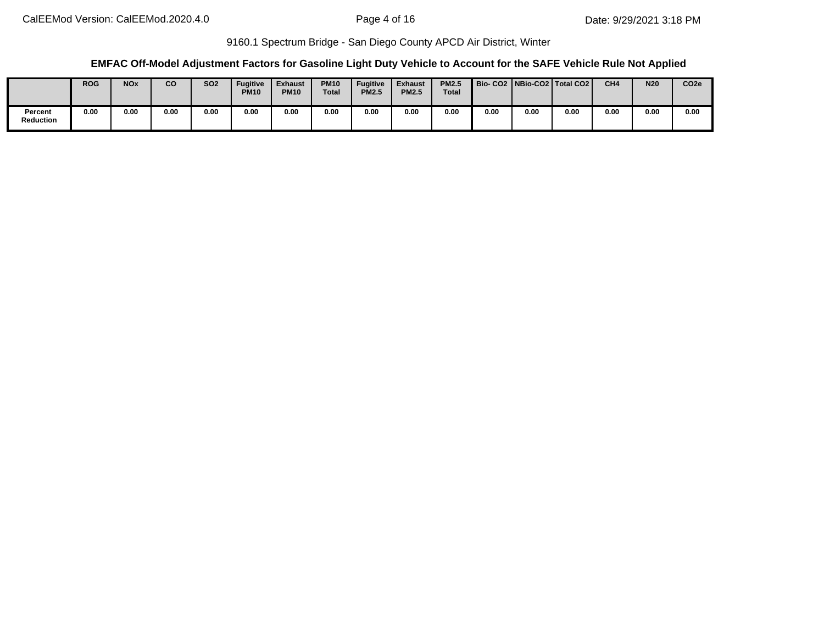### **EMFAC Off-Model Adjustment Factors for Gasoline Light Duty Vehicle to Account for the SAFE Vehicle Rule Not Applied**

|                      | <b>ROG</b> | <b>NO<sub>x</sub></b> | co   | <b>SO2</b> | <b>Fugitive</b><br><b>PM10</b> | <b>Exhaust</b><br><b>PM10</b> | <b>PM10</b><br><b>Total</b> | <b>Fugitive</b><br><b>PM2.5</b> | <b>Exhaust</b><br><b>PM2.5</b> | <b>PM2.5</b><br><b>Total</b> |      |      | Bio-CO2   NBio-CO2   Total CO2 | CH <sub>4</sub> | <b>N20</b> | CO <sub>2e</sub> |
|----------------------|------------|-----------------------|------|------------|--------------------------------|-------------------------------|-----------------------------|---------------------------------|--------------------------------|------------------------------|------|------|--------------------------------|-----------------|------------|------------------|
| Percent<br>Reduction | 0.00       | 0.00                  | 0.00 | 0.00       | 0.00                           | 0.00                          | 0.00                        | 0.00                            | 0.00                           | 0.00                         | 0.00 | 0.00 | 0.00                           | 0.00            | 0.00       | 0.00             |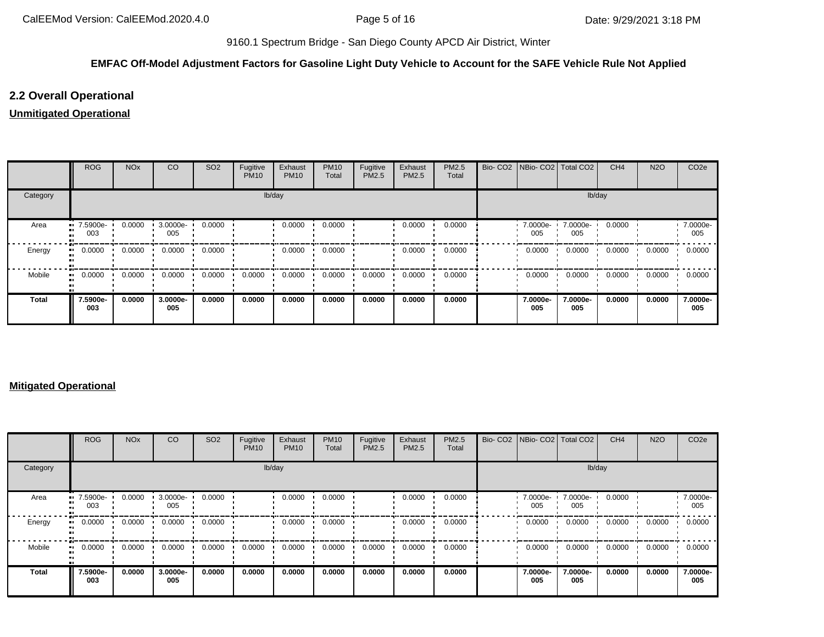## **EMFAC Off-Model Adjustment Factors for Gasoline Light Duty Vehicle to Account for the SAFE Vehicle Rule Not Applied**

# **2.2 Overall Operational**

# **Unmitigated Operational**

|          | <b>ROG</b>          | <b>NO<sub>x</sub></b> | CO              | SO <sub>2</sub> | Fugitive<br><b>PM10</b> | Exhaust<br><b>PM10</b> | <b>PM10</b><br>Total | Fugitive<br>PM2.5 | Exhaust<br>PM2.5 | PM2.5<br>Total | Bio- CO2   NBio- CO2   Total CO2 |                 | CH <sub>4</sub> | <b>N2O</b> | CO <sub>2e</sub> |
|----------|---------------------|-----------------------|-----------------|-----------------|-------------------------|------------------------|----------------------|-------------------|------------------|----------------|----------------------------------|-----------------|-----------------|------------|------------------|
| Category |                     |                       |                 |                 | lb/day                  |                        |                      |                   |                  |                |                                  | lb/day          |                 |            |                  |
| Area     | 7.5900e-<br><br>003 | 0.0000                | 3.0000e-<br>005 | 0.0000          |                         | 0.0000                 | 0.0000               |                   | 0.0000           | 0.0000         | 7.0000e-<br>005                  | 7.0000e-<br>005 | 0.0000          |            | 7.0000e-<br>005  |
| Energy   | 0.0000<br>ш.        | 0.0000                | 0.0000          | 0.0000          |                         | 0.0000                 | 0.0000               |                   | 0.0000           | 0.0000         | 0.0000                           | 0.0000          | 0.0000          | 0.0000     | 0.0000           |
| Mobile   | 0.0000<br>ш.        | 0.0000                | 0.0000          | 0.0000          | 0.0000                  | 0.0000                 | 0.0000               | 0.0000            | 0.0000           | 0.0000         | 0.0000                           | 0.0000          | 0.0000          | 0.0000     | 0.0000           |
| Total    | 7.5900e-<br>003     | 0.0000                | 3.0000e-<br>005 | 0.0000          | 0.0000                  | 0.0000                 | 0.0000               | 0.0000            | 0.0000           | 0.0000         | 7.0000e-<br>005                  | 7.0000e-<br>005 | 0.0000          | 0.0000     | 7.0000e-<br>005  |

#### **Mitigated Operational**

|              | <b>ROG</b>      | <b>NO<sub>x</sub></b> | CO              | SO <sub>2</sub> | Fugitive<br><b>PM10</b> | Exhaust<br><b>PM10</b> | <b>PM10</b><br>Total | Fugitive<br><b>PM2.5</b> | Exhaust<br>PM2.5 | PM2.5<br>Total | Bio- CO2 NBio- CO2 Total CO2 |                 | CH <sub>4</sub> | <b>N2O</b> | CO <sub>2</sub> e |
|--------------|-----------------|-----------------------|-----------------|-----------------|-------------------------|------------------------|----------------------|--------------------------|------------------|----------------|------------------------------|-----------------|-----------------|------------|-------------------|
| Category     |                 |                       |                 |                 |                         | lb/day                 |                      |                          |                  |                |                              | lb/day          |                 |            |                   |
| Area         | 7.5900e-<br>003 | 0.0000                | 3.0000e-<br>005 | 0.0000          |                         | 0.0000                 | 0.0000               |                          | 0.0000           | 0.0000         | 7.0000e-<br>005              | 7.0000e-<br>005 | 0.0000          |            | 7.0000e-<br>005   |
| Energy       | 0.0000          | 0.0000                | 0.0000          | 0.0000          |                         | 0.0000                 | 0.0000               |                          | 0.0000           | 0.0000         | 0.0000                       | 0.0000          | 0.0000          | 0.0000     | 0.0000            |
| Mobile       | 0.0000          | 0.0000                | 0.0000          | 0.0000          | 0.0000                  | 0.0000                 | 0.0000               | 0.0000                   | 0.0000           | 0.0000         | 0.0000                       | 0.0000          | 0.0000          | 0.0000     | 0.0000            |
| <b>Total</b> | 7.5900e-<br>003 | 0.0000                | 3.0000e-<br>005 | 0.0000          | 0.0000                  | 0.0000                 | 0.0000               | 0.0000                   | 0.0000           | 0.0000         | 7.0000e-<br>005              | 7.0000e-<br>005 | 0.0000          | 0.0000     | 7.0000e-<br>005   |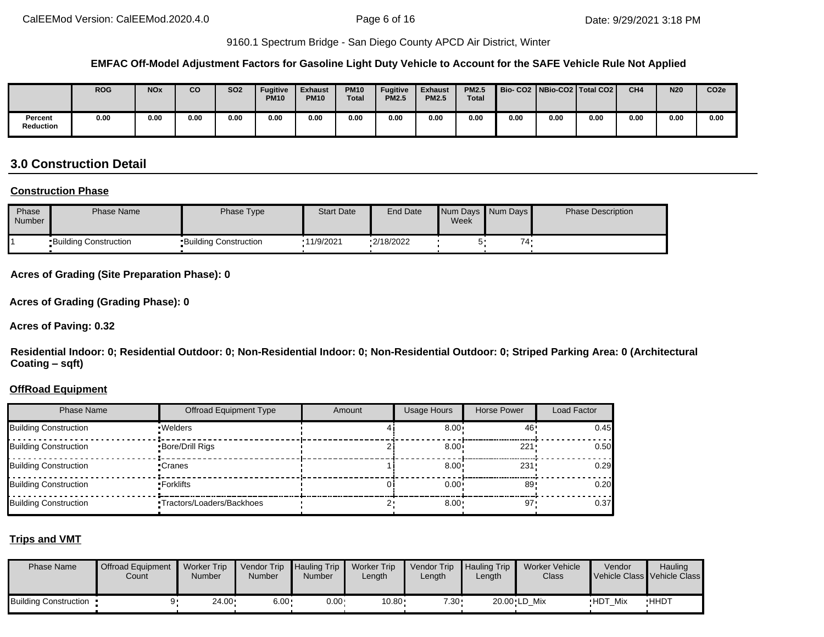#### **EMFAC Off-Model Adjustment Factors for Gasoline Light Duty Vehicle to Account for the SAFE Vehicle Rule Not Applied**

|                             | <b>ROG</b> | <b>NOx</b> | CO   | SO <sub>2</sub> | <b>Fugitive</b><br><b>PM10</b> | <b>Exhaust</b><br><b>PM10</b> | <b>PM10</b><br><b>Total</b> | <b>Fugitive</b><br><b>PM2.5</b> | <b>Exhaust</b><br><b>PM2.5</b> | <b>PM2.5</b><br><b>Total</b> |      | Bio- CO2   NBio-CO2   Total CO2 |      | CH <sub>4</sub> | <b>N20</b> | CO <sub>2e</sub> |
|-----------------------------|------------|------------|------|-----------------|--------------------------------|-------------------------------|-----------------------------|---------------------------------|--------------------------------|------------------------------|------|---------------------------------|------|-----------------|------------|------------------|
| Percent<br><b>Reduction</b> | 0.00       | 0.00       | 0.00 | 0.00            | 0.00                           | 0.00                          | 0.00                        | 0.00                            | 0.00                           | 0.00                         | 0.00 | 0.00                            | 0.00 | 0.00            | 0.00       | 0.00             |

# **3.0 Construction Detail**

#### **Construction Phase**

| Phase<br><b>Number</b> | <b>Phase Name</b>            | Phase Type                   | <b>Start Date</b> | <b>End Date</b> | Week | Num Days Num Days | <b>Phase Description</b> |
|------------------------|------------------------------|------------------------------|-------------------|-----------------|------|-------------------|--------------------------|
|                        | <b>Building Construction</b> | <b>Building Construction</b> | 11/9/2021         | $-2/18/2022$    | ∽    | 74.               |                          |

**Acres of Grading (Site Preparation Phase): 0**

**Acres of Grading (Grading Phase): 0**

**Acres of Paving: 0.32**

**Residential Indoor: 0; Residential Outdoor: 0; Non-Residential Indoor: 0; Non-Residential Outdoor: 0; Striped Parking Area: 0 (Architectural Coating – sqft)**

#### **OffRoad Equipment**

| <b>Phase Name</b>            | <b>Offroad Equipment Type</b> | Amount | <b>Usage Hours</b> | Horse Power | Load Factor |
|------------------------------|-------------------------------|--------|--------------------|-------------|-------------|
| Building Construction        | · Welders                     |        | $8.00 \div$        | 46          | 0.45        |
| <b>Building Construction</b> | Bore/Drill Rigs               |        | $8.00 \div$        | 221:        | 0.50        |
| Building Construction        | •Cranes                       |        | $8.00 \cdot$       | 231         | 0.29        |
| <b>Building Construction</b> | ▪Forklifts                    |        | $0.00 \cdot$       | 89          | 0.20        |
| Building Construction        | •Tractors/Loaders/Backhoes    |        | 8.00               | 97          | 0.37        |

#### **Trips and VMT**

| <b>Phase Name</b>              | <b>Offroad Equipment</b><br>Count | <b>Worker Trip</b><br>Number | Vendor Trip Hauling Trip<br>Number | Number       | <b>Worker Trip</b><br>Length | <b>Vendor Trip</b><br>∟ength | Hauling Trip<br>Length | Worker Vehicle<br>Class | Vendor         | Hauling<br>Vehicle Class Vehicle Class |
|--------------------------------|-----------------------------------|------------------------------|------------------------------------|--------------|------------------------------|------------------------------|------------------------|-------------------------|----------------|----------------------------------------|
| <b>Building Construction •</b> |                                   | $24.00 \cdot$                | $6.00 \cdot$                       | $0.00 \cdot$ | 10.80                        | $7.30 -$                     |                        | 20.00 LD Mix            | <b>HDT Mix</b> | <b>HHDT</b>                            |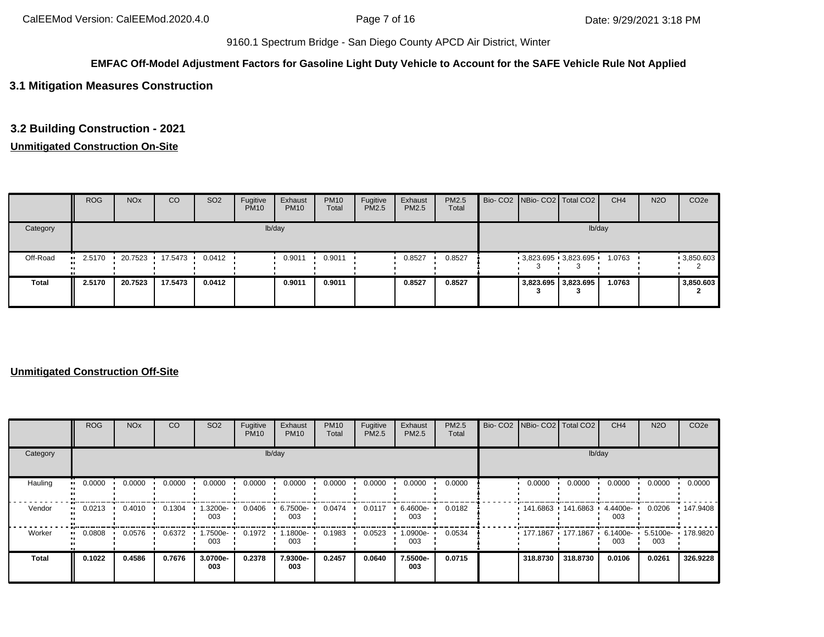#### **EMFAC Off-Model Adjustment Factors for Gasoline Light Duty Vehicle to Account for the SAFE Vehicle Rule Not Applied**

## **3.1 Mitigation Measures Construction**

## **3.2 Building Construction - 2021**

## **Unmitigated Construction On-Site**

|          | <b>ROG</b> | <b>NO<sub>x</sub></b> | CO                | SO <sub>2</sub>  | Fugitive<br><b>PM10</b> | Exhaust<br><b>PM10</b> | <b>PM10</b><br>Total | Fugitive<br>PM2.5 | Exhaust<br><b>PM2.5</b> | <b>PM2.5</b><br>Total |  | Bio- CO2 NBio- CO2 Total CO2 | CH <sub>4</sub> | <b>N2O</b> | CO <sub>2e</sub> |
|----------|------------|-----------------------|-------------------|------------------|-------------------------|------------------------|----------------------|-------------------|-------------------------|-----------------------|--|------------------------------|-----------------|------------|------------------|
| Category |            | lb/day                |                   |                  |                         |                        |                      |                   |                         |                       |  |                              | lb/day          |            |                  |
| Off-Road | 2.5170     |                       | 20.7523 17.5473 1 | $0.0412$ $\cdot$ |                         | 0.9011                 | 0.9011               |                   | 0.8527                  | 0.8527                |  | $-3,823.695$ $-3,823.695$    | 1.0763          |            | $-3,850.603$     |
| Total    | 2.5170     | 20.7523               | 17.5473           | 0.0412           |                         | 0.9011                 | 0.9011               |                   | 0.8527                  | 0.8527                |  | 3,823.695 3,823.695          | 1.0763          |            | 3,850.603        |

#### **Unmitigated Construction Off-Site**

|                     | <b>ROG</b> | <b>NO<sub>x</sub></b> | CO     | SO <sub>2</sub> | Fugitive<br><b>PM10</b> | Exhaust<br><b>PM10</b> | <b>PM10</b><br>Total | Fugitive<br>PM2.5 | Exhaust<br>PM2.5 | PM2.5<br>Total | Bio- CO2   NBio- CO2   Total CO2 |          | CH <sub>4</sub>    | <b>N2O</b>               | CO <sub>2e</sub> |
|---------------------|------------|-----------------------|--------|-----------------|-------------------------|------------------------|----------------------|-------------------|------------------|----------------|----------------------------------|----------|--------------------|--------------------------|------------------|
| Category            |            |                       |        |                 |                         | lb/day                 |                      |                   |                  |                |                                  | lb/day   |                    |                          |                  |
| Hauling<br>ш.       | 0.0000     | 0.0000                | 0.0000 | 0.0000          | 0.0000                  | 0.0000                 | 0.0000               | 0.0000            | 0.0000           | 0.0000         | 0.0000                           | 0.0000   | 0.0000             | 0.0000                   | 0.0000           |
| Vendor<br>$\bullet$ | 0.0213     | 0.4010                | 0.1304 | 1.3200e-<br>003 | 0.0406                  | 6.7500e-<br>003        | 0.0474               | 0.0117            | 6.4600e-<br>003  | 0.0182         | $141.6863$ 141.6863              |          | 4.4400e-<br>003    | 0.0206                   | 147.9408         |
| Worker<br>ш.        | 0.0808     | 0.0576                | 0.6372 | -.7500e<br>003  | 0.1972                  | 1.1800e-<br>003        | 0.1983               | 0.0523            | -0900e.<br>003   | 0.0534         | $177.1867$ 177.1867              |          | $6.1400e -$<br>003 | 5.5100e- 178.9820<br>003 |                  |
| <b>Total</b>        | 0.1022     | 0.4586                | 0.7676 | 3.0700e-<br>003 | 0.2378                  | 7.9300e-<br>003        | 0.2457               | 0.0640            | 7.5500e-<br>003  | 0.0715         | 318,8730                         | 318.8730 | 0.0106             | 0.0261                   | 326.9228         |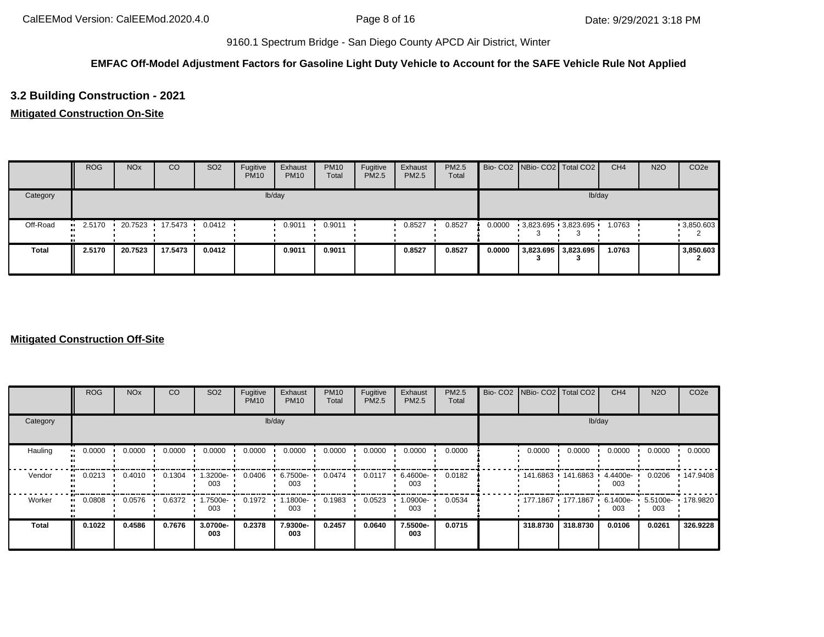## **EMFAC Off-Model Adjustment Factors for Gasoline Light Duty Vehicle to Account for the SAFE Vehicle Rule Not Applied**

# **3.2 Building Construction - 2021**

# **Mitigated Construction On-Site**

|              | <b>ROG</b> | <b>NO<sub>x</sub></b> | CO                | SO <sub>2</sub>  | Fugitive<br><b>PM10</b> | Exhaust<br><b>PM10</b> | <b>PM10</b><br>Total | Fugitive<br>PM2.5 | Exhaust<br>PM2.5 | PM2.5<br>Total |        | Bio- CO2 NBio- CO2 Total CO2 | CH <sub>4</sub> | <b>N2O</b> | CO <sub>2e</sub> |
|--------------|------------|-----------------------|-------------------|------------------|-------------------------|------------------------|----------------------|-------------------|------------------|----------------|--------|------------------------------|-----------------|------------|------------------|
| Category     |            |                       |                   |                  |                         | lb/day                 |                      |                   |                  |                |        | lb/day                       |                 |            |                  |
| Off-Road     | 2.5170<br> |                       | 20.7523 17.5473 1 | $0.0412$ $\cdot$ |                         | 0.9011                 | 0.9011               |                   | 0.8527           | 0.8527         | 0.0000 | 3,823.695 3,823.695          | 1.0763          |            | 9,850.603        |
| <b>Total</b> | 2.5170     | 20.7523               | 17.5473           | 0.0412           |                         | 0.9011                 | 0.9011               |                   | 0.8527           | 0.8527         | 0.0000 | 3,823.695 3,823.695          | 1.0763          |            | 3,850.603        |

#### **Mitigated Construction Off-Site**

|                        | <b>ROG</b>          | <b>NO<sub>x</sub></b> | CO     | SO <sub>2</sub> | Fugitive<br><b>PM10</b> | Exhaust<br><b>PM10</b> | <b>PM10</b><br>Total | Fugitive<br>PM2.5 | Exhaust<br>PM2.5 | PM2.5<br>Total | Bio- CO2 NBio- CO2 Total CO2 |          | CH <sub>4</sub>    | <b>N2O</b>               | CO <sub>2e</sub> |
|------------------------|---------------------|-----------------------|--------|-----------------|-------------------------|------------------------|----------------------|-------------------|------------------|----------------|------------------------------|----------|--------------------|--------------------------|------------------|
| Category               |                     |                       |        |                 |                         | lb/day                 |                      |                   |                  |                |                              | lb/day   |                    |                          |                  |
| Hauling                | 0.0000<br>$\bullet$ | 0.0000                | 0.0000 | 0.0000          | 0.0000                  | 0.0000                 | 0.0000               | 0.0000            | 0.0000           | 0.0000         | 0.0000                       | 0.0000   | 0.0000             | 0.0000                   | 0.0000           |
| Vendor<br>$\mathbf{u}$ | 0.0213              | 0.4010                | 0.1304 | 1.3200e-<br>003 | 0.0406                  | 6.7500e-<br>003        | 0.0474               | 0.0117            | 6.4600e-<br>003  | 0.0182         | 141.6863 141.6863            |          | 4.4400e-<br>003    | 0.0206                   | Ⅰ 147.9408       |
| Worker<br>$\bullet$    | 0.0808              | 0.0576                | 0.6372 | 1.7500e-<br>003 | 0.1972                  | 1.1800e-<br>003        | 0.1983               | 0.0523            | .0900e-<br>003   | 0.0534         | 177.1867 177.1867 1          |          | $6.1400e -$<br>003 | 5.5100e- 178.9820<br>003 |                  |
| <b>Total</b>           | 0.1022              | 0.4586                | 0.7676 | 3.0700e-<br>003 | 0.2378                  | 7.9300e-<br>003        | 0.2457               | 0.0640            | 7.5500e-<br>003  | 0.0715         | 318,8730                     | 318,8730 | 0.0106             | 0.0261                   | 326.9228         |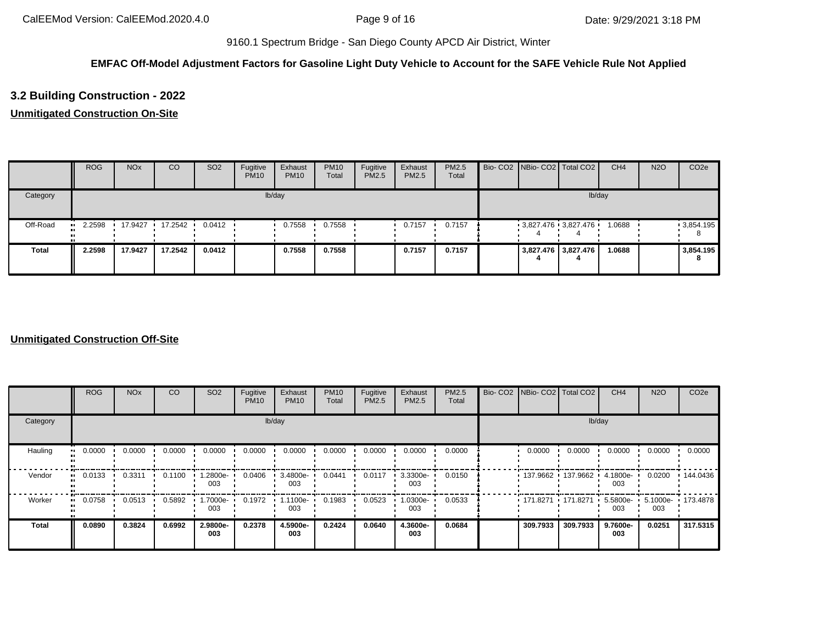## **EMFAC Off-Model Adjustment Factors for Gasoline Light Duty Vehicle to Account for the SAFE Vehicle Rule Not Applied**

# **3.2 Building Construction - 2022**

# **Unmitigated Construction On-Site**

|              | <b>ROG</b> | <b>NO<sub>x</sub></b> | CO      | SO <sub>2</sub> | Fugitive<br><b>PM10</b> | Exhaust<br><b>PM10</b> | <b>PM10</b><br>Total | Fugitive<br>PM2.5 | Exhaust<br><b>PM2.5</b> | <b>PM2.5</b><br>Total |  | Bio- CO2 NBio- CO2 Total CO2 | CH <sub>4</sub> | <b>N2O</b> | CO <sub>2e</sub> |
|--------------|------------|-----------------------|---------|-----------------|-------------------------|------------------------|----------------------|-------------------|-------------------------|-----------------------|--|------------------------------|-----------------|------------|------------------|
| Category     |            |                       |         |                 |                         | lb/day                 |                      |                   |                         |                       |  | lb/day                       |                 |            |                  |
| Off-Road     | 2.2598<br> | 17.9427               | 17.2542 | 0.0412          |                         | 0.7558                 | 0.7558               |                   | 0.7157                  | 0.7157                |  | $3,827.476$ 3,827.476        | 1.0688          |            | .3,854.195       |
| <b>Total</b> | 2.2598     | 17.9427               | 17.2542 | 0.0412          |                         | 0.7558                 | 0.7558               |                   | 0.7157                  | 0.7157                |  | 3,827.476 3,827.476          | 1.0688          |            | 3,854.195<br>o   |

### **Unmitigated Construction Off-Site**

|                        | <b>ROG</b>                 | <b>NO<sub>x</sub></b> | CO     | SO <sub>2</sub> | Fugitive<br><b>PM10</b> | Exhaust<br><b>PM10</b> | <b>PM10</b><br>Total | Fugitive<br>PM2.5 | Exhaust<br>PM2.5 | PM2.5<br>Total | Bio- CO2 NBio- CO2 Total CO2 |          | CH <sub>4</sub>    | <b>N2O</b>               | CO <sub>2e</sub> |
|------------------------|----------------------------|-----------------------|--------|-----------------|-------------------------|------------------------|----------------------|-------------------|------------------|----------------|------------------------------|----------|--------------------|--------------------------|------------------|
| Category               |                            |                       |        |                 |                         | lb/day                 |                      |                   |                  |                |                              | lb/day   |                    |                          |                  |
| Hauling                | 0.0000<br>$\bullet\bullet$ | 0.0000                | 0.0000 | 0.0000          | 0.0000                  | 0.0000                 | 0.0000               | 0.0000            | 0.0000           | 0.0000         | 0.0000                       | 0.0000   | 0.0000             | 0.0000                   | 0.0000           |
| Vendor<br>$\mathbf{u}$ | 0.0133                     | 0.3311                | 0.1100 | 1.2800e-<br>003 | 0.0406                  | 3.4800e-<br>003        | 0.0441               | 0.0117            | 3.3300e-<br>003  | 0.0150         | 137.9662 137.9662            |          | 4.1800e-<br>003    | 0.0200                   | 144.0436         |
| Worker<br>$\bullet$    | 0.0758                     | 0.0513                | 0.5892 | 1.7000e-<br>003 | 0.1972                  | $1.1100e-$<br>003      | 0.1983               | 0.0523            | .0300e-<br>003   | 0.0533         | 171.8271 171.8271            |          | $5.5800e -$<br>003 | 5.1000e- 173.4878<br>003 |                  |
| <b>Total</b>           | 0.0890                     | 0.3824                | 0.6992 | 2.9800e-<br>003 | 0.2378                  | 4.5900e-<br>003        | 0.2424               | 0.0640            | 4.3600e-<br>003  | 0.0684         | 309.7933                     | 309.7933 | 9.7600e-<br>003    | 0.0251                   | 317.5315         |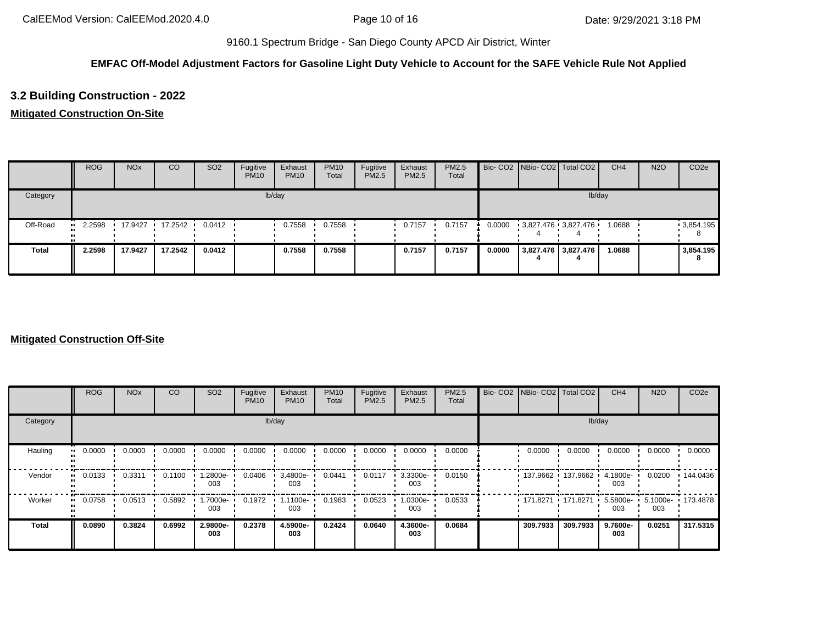## **EMFAC Off-Model Adjustment Factors for Gasoline Light Duty Vehicle to Account for the SAFE Vehicle Rule Not Applied**

# **3.2 Building Construction - 2022**

# **Mitigated Construction On-Site**

|          | <b>ROG</b> | <b>NO<sub>x</sub></b> | CO                  | SO <sub>2</sub>  | Fugitive<br><b>PM10</b> | Exhaust<br><b>PM10</b> | <b>PM10</b><br>Total | Fugitive<br>PM2.5 | Exhaust<br>PM2.5 | PM2.5<br>Total |        | Bio- CO2 NBio- CO2 Total CO2 | CH <sub>4</sub> | <b>N2O</b> | CO <sub>2e</sub> |
|----------|------------|-----------------------|---------------------|------------------|-------------------------|------------------------|----------------------|-------------------|------------------|----------------|--------|------------------------------|-----------------|------------|------------------|
| Category |            |                       |                     |                  |                         | lb/day                 |                      |                   |                  |                |        |                              | lb/day          |            |                  |
| Off-Road | 2.2598<br> |                       | $17.9427$ $17.2542$ | $0.0412$ $\cdot$ |                         | 0.7558                 | 0.7558               |                   | 0.7157           | 0.7157         | 0.0000 | 3,827.476 3,827.476          | 1.0688          |            | 9,854.195        |
| Total    | 2.2598     | 17.9427               | 17.2542             | 0.0412           |                         | 0.7558                 | 0.7558               |                   | 0.7157           | 0.7157         | 0.0000 | 3,827.476 3,827.476          | 1.0688          |            | 3,854.195<br>8   |

#### **Mitigated Construction Off-Site**

|                             | <b>ROG</b> | <b>NO<sub>x</sub></b> | CO     | SO <sub>2</sub> | Fugitive<br><b>PM10</b> | Exhaust<br><b>PM10</b> | <b>PM10</b><br>Total | Fugitive<br>PM2.5 | Exhaust<br>PM2.5 | PM2.5<br>Total | Bio- CO2   NBio- CO2   Total CO2 |          | CH <sub>4</sub>    | <b>N2O</b> | CO <sub>2e</sub>  |
|-----------------------------|------------|-----------------------|--------|-----------------|-------------------------|------------------------|----------------------|-------------------|------------------|----------------|----------------------------------|----------|--------------------|------------|-------------------|
| Category                    |            |                       |        |                 |                         | lb/day                 |                      |                   |                  |                |                                  | lb/day   |                    |            |                   |
| Hauling<br>$\bullet\bullet$ | 0.0000     | 0.0000                | 0.0000 | 0.0000          | 0.0000                  | 0.0000                 | 0.0000               | 0.0000            | 0.0000           | 0.0000         | 0.0000                           | 0.0000   | 0.0000             | 0.0000     | 0.0000            |
| Vendor<br>$\mathbf{u}$      | 0.0133     | 0.3311                | 0.1100 | 1.2800e-<br>003 | 0.0406                  | 3.4800e-<br>003        | 0.0441               | 0.0117            | 3.3300e-<br>003  | 0.0150         | 137.9662 137.9662                |          | 4.1800e-<br>003    | 0.0200     | 144.0436          |
| Worker<br>$\bullet$         | 0.0758     | 0.0513                | 0.5892 | 1.7000e-<br>003 | 0.1972                  | 1.1100e-<br>003        | 0.1983               | 0.0523            | .0300e-<br>003   | 0.0533         | $171.8271$ 171.8271              |          | $5.5800e -$<br>003 | 003        | 5.1000e- 173.4878 |
| <b>Total</b>                | 0.0890     | 0.3824                | 0.6992 | 2.9800e-<br>003 | 0.2378                  | 4.5900e-<br>003        | 0.2424               | 0.0640            | 4.3600e-<br>003  | 0.0684         | 309.7933                         | 309.7933 | 9.7600e-<br>003    | 0.0251     | 317.5315          |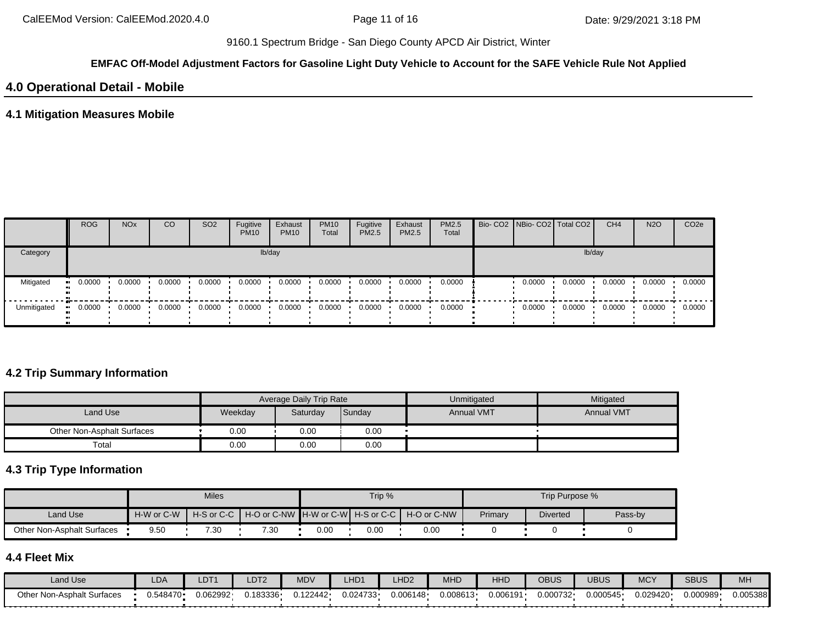#### **EMFAC Off-Model Adjustment Factors for Gasoline Light Duty Vehicle to Account for the SAFE Vehicle Rule Not Applied**

# **4.0 Operational Detail - Mobile**

### **4.1 Mitigation Measures Mobile**

|             | <b>ROG</b>           | <b>NO<sub>x</sub></b> | CO              | SO <sub>2</sub> | Fugitive<br><b>PM10</b> | Exhaust<br><b>PM10</b> | <b>PM10</b><br>Total | Fugitive<br><b>PM2.5</b> | Exhaust<br><b>PM2.5</b> | <b>PM2.5</b><br>Total |        | Bio- CO2 NBio- CO2   Total CO2 | CH <sub>4</sub> | <b>N2O</b> | CO <sub>2e</sub> |
|-------------|----------------------|-----------------------|-----------------|-----------------|-------------------------|------------------------|----------------------|--------------------------|-------------------------|-----------------------|--------|--------------------------------|-----------------|------------|------------------|
| Category    |                      |                       |                 |                 |                         | lb/day                 |                      |                          |                         |                       |        |                                | lb/day          |            |                  |
| Mitigated   | 0.0000<br><b>ALC</b> | 0.0000                | 0.0000          | 0.0000          | 0.0000                  | 0.0000                 | 0.0000               | 0.0000                   | 0.0000                  | 0.0000                | 0.0000 | 0.0000                         | 0.0000          | 0.0000     | 0.0000           |
| Unmitigated | 0.0000               |                       | $0.0000$ 0.0000 | 0.0000          | 0.0000                  | 0.0000                 | 0.0000               | 0.0000                   | 0.0000                  | 0.0000                | 0.0000 | 0.0000                         | 0.0000          | 0.0000     | 0.0000           |

## **4.2 Trip Summary Information**

|                            |         | Average Daily Trip Rate |        | Unmitigated       | Mitigated         |
|----------------------------|---------|-------------------------|--------|-------------------|-------------------|
| Land Use                   | Weekday | Saturday                | Sunday | <b>Annual VMT</b> | <b>Annual VMT</b> |
| Other Non-Asphalt Surfaces | 0.00    | 0.00                    | 0.00   |                   |                   |
| Total                      | 0.00    | 0.00                    | 0.00   |                   |                   |

# **4.3 Trip Type Information**

|                            |            | <b>Miles</b>    |                                                    |      | Trip % |             |         | Trip Purpose %  |         |
|----------------------------|------------|-----------------|----------------------------------------------------|------|--------|-------------|---------|-----------------|---------|
| <b>Land Use</b>            | H-W or C-W |                 | H-S or C-C   H-O or C-NW   H-W or C-W   H-S or C-C |      |        | H-O or C-NW | Primary | <b>Diverted</b> | Pass-by |
| Other Non-Asphalt Surfaces | 9.50       | $^{\prime}$ .30 | 7.30                                               | 0.00 | 0.00   | 0.00        |         |                 |         |

# **4.4 Fleet Mix**

| Land Use                      | LDA       | LDT <sup>.</sup> | LDT2    | <b>MDV</b> | _HD <sub>1</sub> | _HD <sub>2</sub> | <b>MHD</b> | HHD      | OBUS     | UBUS     | <b>MCY</b> | <b>SBUS</b> | MH       |
|-------------------------------|-----------|------------------|---------|------------|------------------|------------------|------------|----------|----------|----------|------------|-------------|----------|
| Non-Asphalt Surfaces<br>Other | ∪.548470∙ | J.062992·        | 183336. | 0.122442   | 0.024733         | 0.006148         | 0.008613   | J.006191 | 0.000732 | 0.000545 | 0.029420   | 0.000989    | 0.005388 |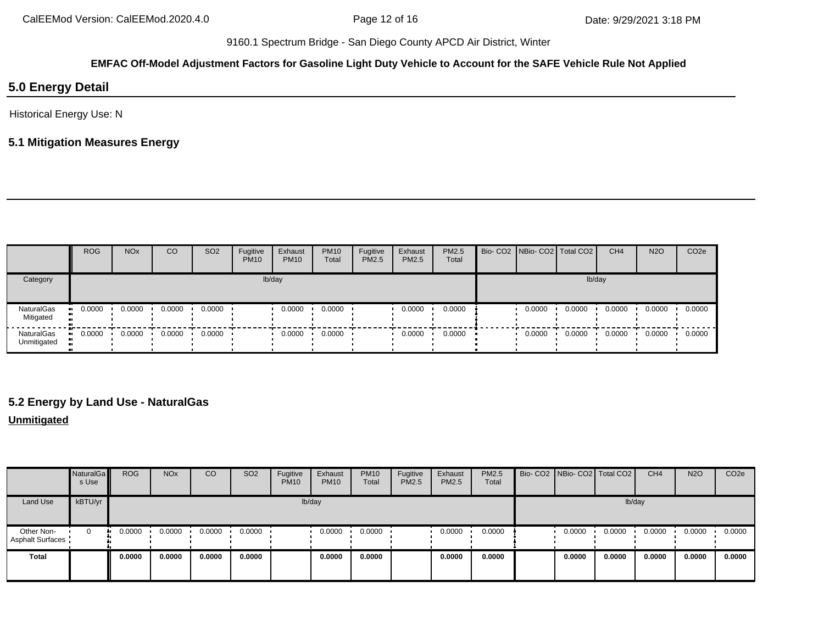# **EMFAC Off-Model Adjustment Factors for Gasoline Light Duty Vehicle to Account for the SAFE Vehicle Rule Not Applied**

# **5.0 Energy Detail**

Historical Energy Use: N

# **5.1 Mitigation Measures Energy**

|                           | <b>ROG</b> | <b>NO<sub>x</sub></b> | CO     | SO <sub>2</sub> | Fugitive<br><b>PM10</b> | Exhaust<br><b>PM10</b> | <b>PM10</b><br>Total | Fugitive<br>PM2.5 | Exhaust<br>PM2.5 | PM2.5<br>Total | Bio- CO2   NBio- CO2   Total CO2 |        | CH <sub>4</sub> | <b>N2O</b> | CO <sub>2e</sub> |
|---------------------------|------------|-----------------------|--------|-----------------|-------------------------|------------------------|----------------------|-------------------|------------------|----------------|----------------------------------|--------|-----------------|------------|------------------|
| Category                  |            |                       |        |                 |                         | lb/day                 |                      |                   |                  |                |                                  | lb/day |                 |            |                  |
| NaturalGas<br>Mitigated   | 0.0000     | 0.0000                | 0.0000 | 0.0000          |                         | 0.0000                 | 0.0000               |                   | 0.0000           | 0.0000         | 0.0000                           | 0.0000 | 0.0000          | 0.0000     | 0.0000           |
| NaturalGas<br>Unmitigated | 0.0000     | 0.0000                | 0.0000 | 0.0000          |                         | 0.0000                 | 0.0000               |                   | 0.0000           | 0.0000         | 0.0000                           | 0.0000 | 0.0000          | 0.0000     | 0.0000           |

# **5.2 Energy by Land Use - NaturalGas**

#### **Unmitigated**

|                                       | NaturalGa<br>s Use | <b>ROG</b> | <b>NO<sub>x</sub></b> | CO     | SO <sub>2</sub> | Fugitive<br><b>PM10</b> | Exhaust<br><b>PM10</b> | <b>PM10</b><br>Total | Fugitive<br><b>PM2.5</b> | Exhaust<br>PM2.5 | PM2.5<br>Total | Bio- CO2 NBio- CO2   Total CO2 |        | CH <sub>4</sub> | <b>N2O</b> | CO <sub>2e</sub> |
|---------------------------------------|--------------------|------------|-----------------------|--------|-----------------|-------------------------|------------------------|----------------------|--------------------------|------------------|----------------|--------------------------------|--------|-----------------|------------|------------------|
| Land Use                              | kBTU/yr            |            |                       |        |                 | lb/day                  |                        |                      |                          |                  |                |                                | lb/day |                 |            |                  |
| Other Non-<br><b>Asphalt Surfaces</b> | $\mathbf{0}$       | 0.0000     | 0.0000                | 0.0000 | 0.0000          |                         | 0.0000                 | 0.0000               |                          | 0.0000           | 0.0000         | 0.0000                         | 0.0000 | 0.0000          | 0.0000     | 0.0000           |
| <b>Total</b>                          |                    | 0.0000     | 0.0000                | 0.0000 | 0.0000          |                         | 0.0000                 | 0.0000               |                          | 0.0000           | 0.0000         | 0.0000                         | 0.0000 | 0.0000          | 0.0000     | 0.0000           |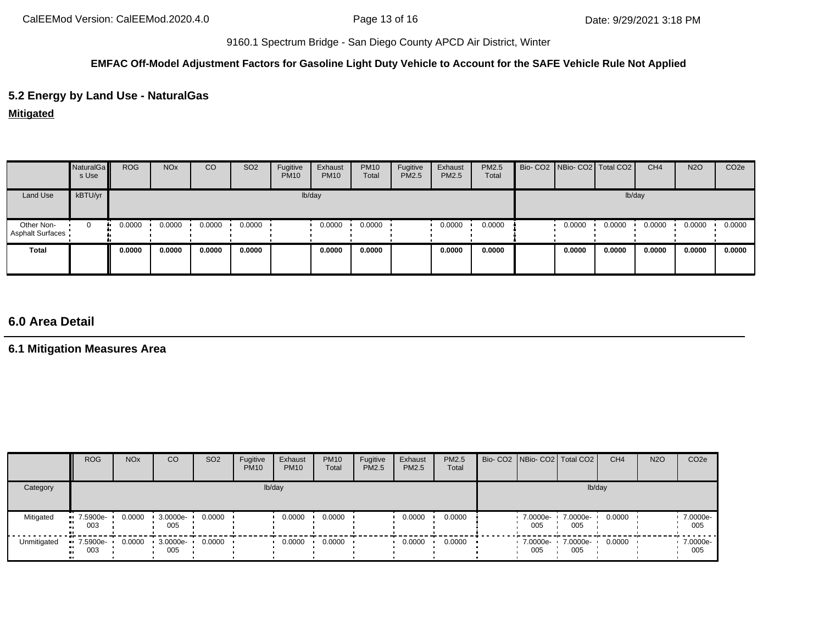## **EMFAC Off-Model Adjustment Factors for Gasoline Light Duty Vehicle to Account for the SAFE Vehicle Rule Not Applied**

# **5.2 Energy by Land Use - NaturalGas**

**Mitigated**

|                                       | NaturalGa<br>s Use | <b>ROG</b> | <b>NO<sub>x</sub></b> | CO     | SO <sub>2</sub> | Fugitive<br><b>PM10</b> | Exhaust<br><b>PM10</b> | <b>PM10</b><br>Total | Fugitive<br>PM2.5 | Exhaust<br>PM2.5 | PM2.5<br>Total | Bio- CO2 NBio- CO2 Total CO2 |        |        | CH <sub>4</sub> | <b>N2O</b> | CO <sub>2e</sub> |
|---------------------------------------|--------------------|------------|-----------------------|--------|-----------------|-------------------------|------------------------|----------------------|-------------------|------------------|----------------|------------------------------|--------|--------|-----------------|------------|------------------|
| Land Use                              | kBTU/yr            |            |                       |        |                 |                         | lb/day                 |                      |                   |                  |                |                              |        | lb/day |                 |            |                  |
| Other Non-<br><b>Asphalt Surfaces</b> | 0                  | 0.0000     | 0.0000                | 0.0000 | 0.0000          |                         | 0.0000                 | 0.0000               |                   | 0.0000           | 0.0000         |                              | 0.0000 | 0.0000 | 0.0000          | 0.0000     | 0.0000           |
| <b>Total</b>                          |                    | 0.0000     | 0.0000                | 0.0000 | 0.0000          |                         | 0.0000                 | 0.0000               |                   | 0.0000           | 0.0000         |                              | 0.0000 | 0.0000 | 0.0000          | 0.0000     | 0.0000           |

# **6.0 Area Detail**

**6.1 Mitigation Measures Area**

|             | <b>ROG</b>         | <b>NO<sub>x</sub></b> | CO              | SO <sub>2</sub> | Fugitive<br><b>PM10</b> | Exhaust<br><b>PM10</b> | <b>PM10</b><br>Total | Fugitive<br><b>PM2.5</b> | Exhaust<br><b>PM2.5</b> | <b>PM2.5</b><br>Total | Bio- CO2   NBio- CO2   Total CO2 |                 | CH <sub>4</sub> | <b>N2O</b> | CO <sub>2e</sub> |
|-------------|--------------------|-----------------------|-----------------|-----------------|-------------------------|------------------------|----------------------|--------------------------|-------------------------|-----------------------|----------------------------------|-----------------|-----------------|------------|------------------|
| Category    |                    |                       |                 |                 | lb/day                  |                        |                      |                          |                         |                       |                                  | lb/day          |                 |            |                  |
| Mitigated   | $-7.5900e-$<br>003 | 0.0000                | 3.0000e-<br>005 | 0.0000          |                         | 0.0000                 | 0.0000               |                          | 0.0000                  | 0.0000                | 7.0000e-<br>005                  | 7.0000e-<br>005 | 0.0000          |            | 7.0000e-<br>005  |
| Unmitigated | 7.5900e-<br>003    | 0.0000                | 3.0000e-<br>005 | 0.0000          |                         | 0.0000                 | 0.0000               |                          | 0.0000                  | 0.0000                | 7.0000e- •<br>005                | 7.0000e-<br>005 | 0.0000          |            | 7.0000e-<br>005  |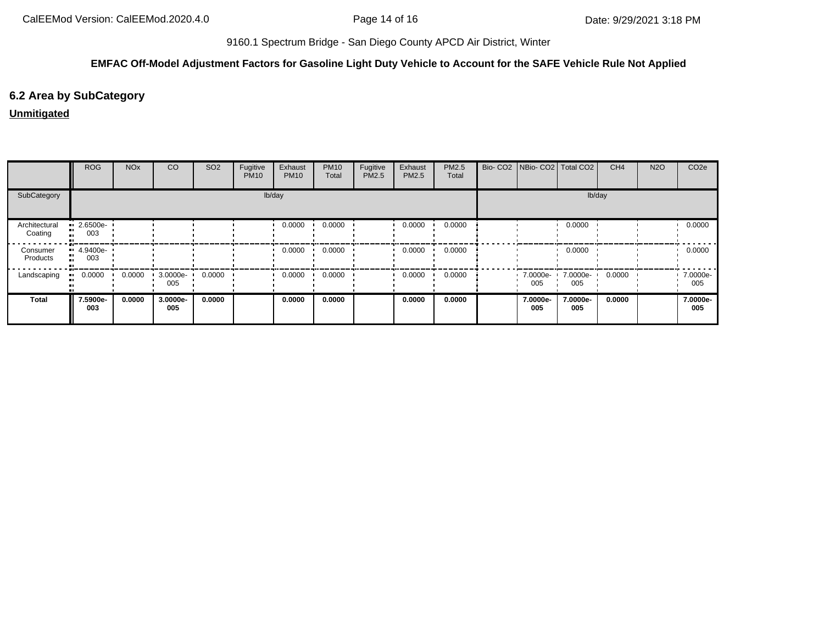## **EMFAC Off-Model Adjustment Factors for Gasoline Light Duty Vehicle to Account for the SAFE Vehicle Rule Not Applied**

# **6.2 Area by SubCategory**

# **Unmitigated**

|                          | <b>ROG</b>      | <b>NO<sub>x</sub></b> | CO              | SO <sub>2</sub> | Fugitive<br><b>PM10</b> | Exhaust<br><b>PM10</b> | <b>PM10</b><br>Total | Fugitive<br>PM2.5 | Exhaust<br><b>PM2.5</b> | PM2.5<br>Total | Bio- CO2   NBio- CO2   Total CO2 |                 | CH <sub>4</sub> | <b>N2O</b> | CO <sub>2</sub> e |
|--------------------------|-----------------|-----------------------|-----------------|-----------------|-------------------------|------------------------|----------------------|-------------------|-------------------------|----------------|----------------------------------|-----------------|-----------------|------------|-------------------|
| SubCategory              |                 |                       |                 |                 |                         | lb/day                 |                      |                   |                         |                |                                  | lb/day          |                 |            |                   |
| Architectural<br>Coating | 2.6500e-<br>003 |                       |                 |                 |                         | 0.0000                 | 0.0000               |                   | 0.0000                  | 0.0000         |                                  | 0.0000          |                 |            | 0.0000            |
| Consumer<br>Products     | 4.9400e-<br>003 |                       |                 |                 |                         | 0.0000                 | 0.0000               |                   | 0.0000                  | 0.0000         |                                  | 0.0000          |                 |            | 0.0000            |
| Landscaping              | 0.0000          | 0.0000                | 3.0000e-<br>005 | 0.0000          |                         | 0.0000                 | 0.0000               |                   | 0.0000                  | 0.0000         | 7.0000e- <b>1</b><br>005         | 7.0000e-<br>005 | 0.0000          |            | 7.0000e-<br>005   |
| <b>Total</b>             | 7.5900e-<br>003 | 0.0000                | 3.0000e-<br>005 | 0.0000          |                         | 0.0000                 | 0.0000               |                   | 0.0000                  | 0.0000         | 7.0000e-<br>005                  | 7.0000e-<br>005 | 0.0000          |            | 7.0000e-<br>005   |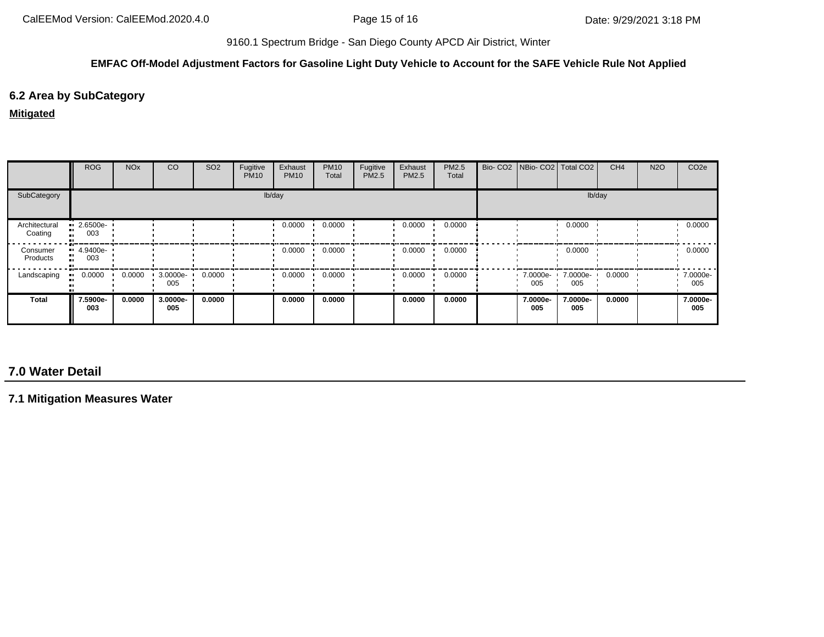#### **EMFAC Off-Model Adjustment Factors for Gasoline Light Duty Vehicle to Account for the SAFE Vehicle Rule Not Applied**

# **6.2 Area by SubCategory**

#### **Mitigated**

|                          | <b>ROG</b>                     | <b>NO<sub>x</sub></b> | CO              | SO <sub>2</sub> | Fugitive<br><b>PM10</b> | Exhaust<br><b>PM10</b> | <b>PM10</b><br>Total | Fugitive<br>PM2.5 | Exhaust<br><b>PM2.5</b> | PM2.5<br>Total | Bio- CO2   NBio- CO2   Total CO2 |                 | CH <sub>4</sub> | <b>N2O</b> | CO <sub>2e</sub> |
|--------------------------|--------------------------------|-----------------------|-----------------|-----------------|-------------------------|------------------------|----------------------|-------------------|-------------------------|----------------|----------------------------------|-----------------|-----------------|------------|------------------|
| SubCategory              |                                |                       |                 |                 | lb/day                  |                        |                      |                   |                         |                |                                  | lb/day          |                 |            |                  |
| Architectural<br>Coating | $\blacksquare$ 2.6500e-<br>003 |                       |                 |                 |                         | 0.0000                 | 0.0000               |                   | 0.0000                  | 0.0000         |                                  | 0.0000          |                 |            | 0.0000           |
| Consumer<br>Products     | $-4.9400e-$<br>. .<br>003      |                       |                 |                 |                         | 0.0000                 | 0.0000               |                   | 0.0000                  | 0.0000         |                                  | 0.0000          |                 |            | 0.0000           |
| Landscaping              | 0.0000                         | 0.0000                | 3.0000e-<br>005 | 0.0000          |                         | 0.0000                 | 0.0000               |                   | 0.0000                  | 0.0000         | 7.0000e-<br>005                  | 7.0000e-<br>005 | 0.0000          |            | 7.0000e-<br>005  |
| <b>Total</b>             | 7.5900e-<br>003                | 0.0000                | 3.0000e-<br>005 | 0.0000          |                         | 0.0000                 | 0.0000               |                   | 0.0000                  | 0.0000         | 7.0000e-<br>005                  | 7.0000e-<br>005 | 0.0000          |            | 7.0000e-<br>005  |

# **7.0 Water Detail**

**7.1 Mitigation Measures Water**